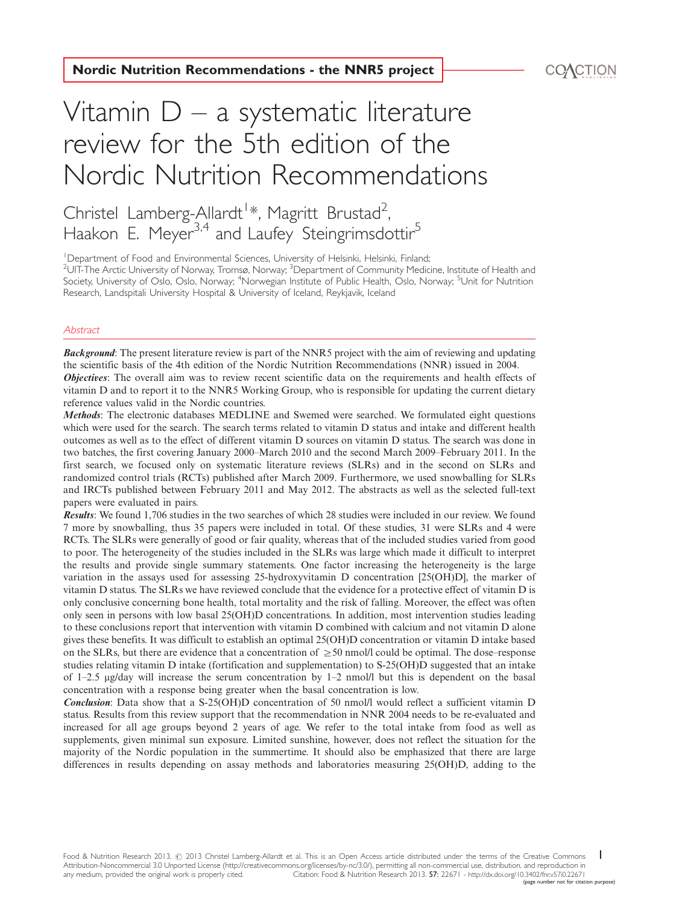# Vitamin D – a systematic literature review for the 5th edition of the Nordic Nutrition Recommendations  $\begin{tabular}{|l|l|} \hline \textbf{Nordic Nutrition Recommendations - the NNR5 project} \hline \textbf{V} (d) (d) (e.g., \textbf{V}) (e.g., \textbf{V}) (f.g., \textbf{V}) (f.g., \textbf{V}) (g.g., \textbf{V}) (h) (i.e., \textbf{V}) (i.e., \textbf{V}) (i.e., \textbf{V}) (i.e., \textbf{V}) (j.e., \textbf{V}) (j.e., \textbf{V}) (k.e., \textbf{V}) (k.e., \textbf{V}) (k.e., \textbf{V}) (k.e., \textbf{V}) (k.e., \textbf{V}) (k.e., \$

Christel Lamberg-Allardt<sup>1</sup>[\\*,](#page-30-0) Magritt Brustad<sup>2</sup> , Haakon E. Meyer<sup>3,4</sup> and Laufey Steingrimsdottir<sup>5</sup>

<sup>1</sup>Department of Food and Environmental Sciences, University of Helsinki, Helsinki, Finland;  $^2$ UIT-The Arctic University of Norway, Tromsø, Norway;  $^3$ Department of Community Medicine, Institute of Health and Society, University of Oslo, Oslo, Norway; <sup>4</sup>Norwegian Institute of Public Health, Oslo, Norway; <sup>5</sup>Unit for Nutrition Research, Landspitali University Hospital & University of Iceland, Reykjavik, Iceland

### **Abstract**

**Background:** The present literature review is part of the NNR5 project with the aim of reviewing and updating the scientific basis of the 4th edition of the Nordic Nutrition Recommendations (NNR) issued in 2004. Objectives: The overall aim was to review recent scientific data on the requirements and health effects of vitamin D and to report it to the NNR5 Working Group, who is responsible for updating the current dietary reference values valid in the Nordic countries.

Methods: The electronic databases MEDLINE and Swemed were searched. We formulated eight questions which were used for the search. The search terms related to vitamin D status and intake and different health outcomes as well as to the effect of different vitamin D sources on vitamin D status. The search was done in two batches, the first covering January 2000-March 2010 and the second March 2009-February 2011. In the first search, we focused only on systematic literature reviews (SLRs) and in the second on SLRs and randomized control trials (RCTs) published after March 2009. Furthermore, we used snowballing for SLRs and IRCTs published between February 2011 and May 2012. The abstracts as well as the selected full-text papers were evaluated in pairs.

Results: We found 1,706 studies in the two searches of which 28 studies were included in our review. We found 7 more by snowballing, thus 35 papers were included in total. Of these studies, 31 were SLRs and 4 were RCTs. The SLRs were generally of good or fair quality, whereas that of the included studies varied from good to poor. The heterogeneity of the studies included in the SLRs was large which made it difficult to interpret the results and provide single summary statements. One factor increasing the heterogeneity is the large variation in the assays used for assessing 25-hydroxyvitamin D concentration [25(OH)D], the marker of vitamin D status. The SLRs we have reviewed conclude that the evidence for a protective effect of vitamin D is only conclusive concerning bone health, total mortality and the risk of falling. Moreover, the effect was often only seen in persons with low basal 25(OH)D concentrations. In addition, most intervention studies leading to these conclusions report that intervention with vitamin D combined with calcium and not vitamin D alone gives these benefits. It was difficult to establish an optimal 25(OH)D concentration or vitamin D intake based on the SLRs, but there are evidence that a concentration of  $\geq 50$  nmol/l could be optimal. The dose–response studies relating vitamin D intake (fortification and supplementation) to S-25(OH)D suggested that an intake of 1-2.5 mg/day will increase the serum concentration by 1-2 nmol/l but this is dependent on the basal concentration with a response being greater when the basal concentration is low.

Conclusion: Data show that a S-25(OH)D concentration of 50 nmol/l would reflect a sufficient vitamin D status. Results from this review support that the recommendation in NNR 2004 needs to be re-evaluated and increased for all age groups beyond 2 years of age. We refer to the total intake from food as well as supplements, given minimal sun exposure. Limited sunshine, however, does not reflect the situation for the majority of the Nordic population in the summertime. It should also be emphasized that there are large differences in results depending on assay methods and laboratories measuring 25(OH)D, adding to the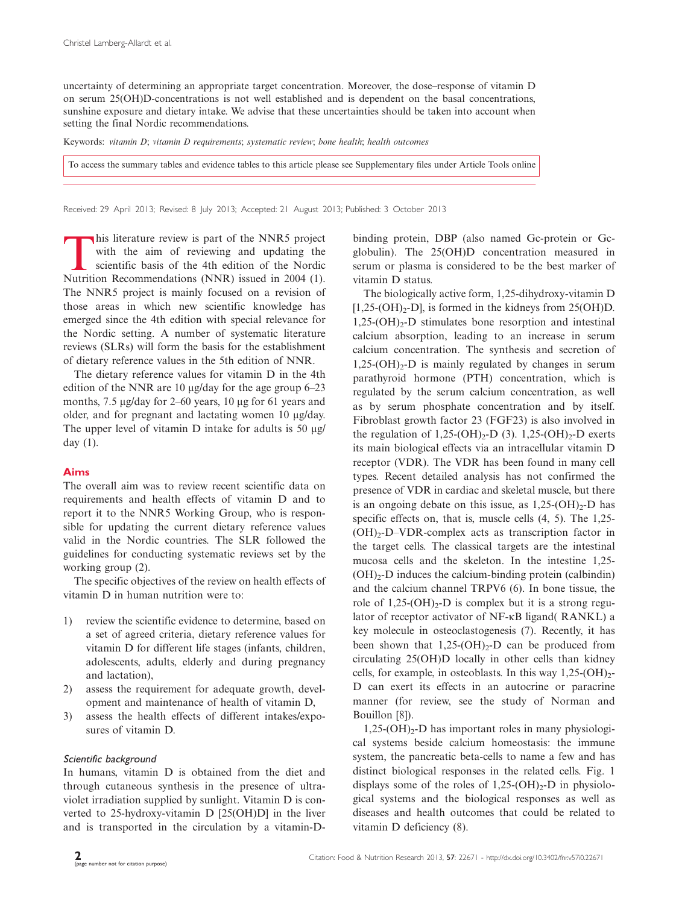uncertainty of determining an appropriate target concentration. Moreover, the dose-response of vitamin D on serum 25(OH)D-concentrations is not well established and is dependent on the basal concentrations, sunshine exposure and dietary intake. We advise that these uncertainties should be taken into account when setting the final Nordic recommendations.

Keywords: vitamin D; vitamin D requirements; systematic review; bone health; health outcomes

[To access the summary tables and evidence tables to this article please see Supplementary files under Article Tools online](http://www.foodandnutritionresearch.net/index.php/fnr/rt/suppFiles/22671/0)

Received: 29 April 2013; Revised: 8 July 2013; Accepted: 21 August 2013; Published: 3 October 2013

This literature review is part of the NNR5 project<br>with the aim of reviewing and updating the<br>scientific basis of the 4th edition of the Nordic<br>Nutrition Recommendations (NNR) issued in 2004 (1) with the aim of reviewing and updating the scientific basis of the 4th edition of the Nordic Nutrition Recommendations (NNR) issued in 2004 (1). The NNR5 project is mainly focused on a revision of those areas in which new scientific knowledge has emerged since the 4th edition with special relevance for the Nordic setting. A number of systematic literature reviews (SLRs) will form the basis for the establishment of dietary reference values in the 5th edition of NNR.

The dietary reference values for vitamin D in the 4th edition of the NNR are 10 µg/day for the age group 6–23 months, 7.5 µg/day for 2–60 years, 10 µg for 61 years and older, and for pregnant and lactating women 10 µg/day. The upper level of vitamin  $D$  intake for adults is 50  $\mu$ g/ day (1).

# Aims

The overall aim was to review recent scientific data on requirements and health effects of vitamin D and to report it to the NNR5 Working Group, who is responsible for updating the current dietary reference values valid in the Nordic countries. The SLR followed the guidelines for conducting systematic reviews set by the working group (2).

The specific objectives of the review on health effects of vitamin D in human nutrition were to:

- 1) review the scientific evidence to determine, based on a set of agreed criteria, dietary reference values for vitamin D for different life stages (infants, children, adolescents, adults, elderly and during pregnancy and lactation),
- 2) assess the requirement for adequate growth, development and maintenance of health of vitamin D,
- 3) assess the health effects of different intakes/exposures of vitamin D.

### Scientific background

In humans, vitamin D is obtained from the diet and through cutaneous synthesis in the presence of ultraviolet irradiation supplied by sunlight. Vitamin D is converted to 25-hydroxy-vitamin D [25(OH)D] in the liver and is transported in the circulation by a vitamin-D-

binding protein, DBP (also named Gc-protein or Gcglobulin). The 25(OH)D concentration measured in serum or plasma is considered to be the best marker of vitamin D status.

The biologically active form, 1,25-dihydroxy-vitamin D  $[1,25-(OH)<sub>2</sub>-DI]$ , is formed in the kidneys from 25(OH)D.  $1,25-(OH)_{2}$ -D stimulates bone resorption and intestinal calcium absorption, leading to an increase in serum calcium concentration. The synthesis and secretion of  $1,25-(OH)_{2}$ -D is mainly regulated by changes in serum parathyroid hormone (PTH) concentration, which is regulated by the serum calcium concentration, as well as by serum phosphate concentration and by itself. Fibroblast growth factor 23 (FGF23) is also involved in the regulation of 1,25-(OH)<sub>2</sub>-D (3). 1,25-(OH)<sub>2</sub>-D exerts its main biological effects via an intracellular vitamin D receptor (VDR). The VDR has been found in many cell types. Recent detailed analysis has not confirmed the presence of VDR in cardiac and skeletal muscle, but there is an ongoing debate on this issue, as  $1,25\text{-}(OH)_2\text{-}D$  has specific effects on, that is, muscle cells (4, 5). The 1,25- (OH)2-D-VDR-complex acts as transcription factor in the target cells. The classical targets are the intestinal mucosa cells and the skeleton. In the intestine 1,25-  $(OH)<sub>2</sub>-D$  induces the calcium-binding protein (calbindin) and the calcium channel TRPV6 (6). In bone tissue, the role of  $1,25-(OH)<sub>2</sub>-D$  is complex but it is a strong regulator of receptor activator of NF-kB ligand( RANKL) a key molecule in osteoclastogenesis (7). Recently, it has been shown that  $1,25-(OH)_{2}$ -D can be produced from circulating 25(OH)D locally in other cells than kidney cells, for example, in osteoblasts. In this way  $1,25\text{-}(\text{OH})_2$ -D can exert its effects in an autocrine or paracrine manner (for review, see the study of Norman and Bouillon [8]).

 $1,25$ -(OH)<sub>2</sub>-D has important roles in many physiological systems beside calcium homeostasis: the immune system, the pancreatic beta-cells to name a few and has distinct biological responses in the related cells. Fig. 1 displays some of the roles of  $1,25-(OH)_{2}-D$  in physiological systems and the biological responses as well as diseases and health outcomes that could be related to vitamin D deficiency (8).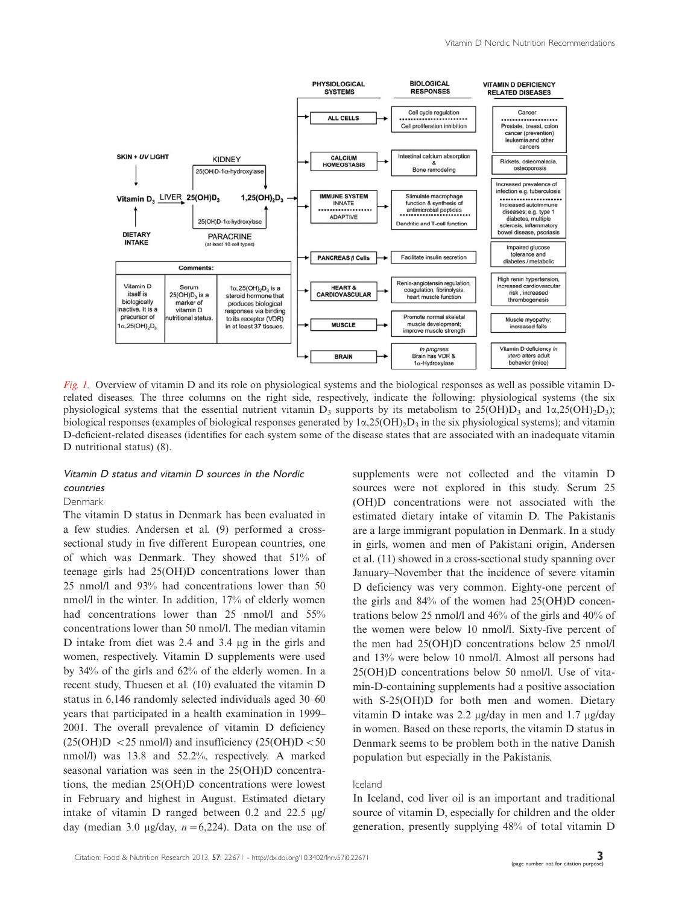

Fig. 1. Overview of vitamin D and its role on physiological systems and the biological responses as well as possible vitamin Drelated diseases. The three columns on the right side, respectively, indicate the following: physiological systems (the six physiological systems that the essential nutrient vitamin  $D_3$  supports by its metabolism to 25(OH) $D_3$  and 1 $\alpha$ ,25(OH)<sub>2</sub>D<sub>3</sub>); biological responses (examples of biological responses generated by  $1\alpha$ ,25(OH)<sub>2</sub>D<sub>3</sub> in the six physiological systems); and vitamin D-deficient-related diseases (identifies for each system some of the disease states that are associated with an inadequate vitamin D nutritional status) (8).

# Vitamin D status and vitamin D sources in the Nordic countries

# Denmark

The vitamin D status in Denmark has been evaluated in a few studies. Andersen et al. (9) performed a crosssectional study in five different European countries, one of which was Denmark. They showed that 51% of teenage girls had 25(OH)D concentrations lower than 25 nmol/l and 93% had concentrations lower than 50 nmol/l in the winter. In addition, 17% of elderly women had concentrations lower than 25 nmol/l and 55% concentrations lower than 50 nmol/l. The median vitamin D intake from diet was 2.4 and 3.4 µg in the girls and women, respectively. Vitamin D supplements were used by 34% of the girls and 62% of the elderly women. In a recent study, Thuesen et al. (10) evaluated the vitamin D status in 6,146 randomly selected individuals aged 30-60 years that participated in a health examination in 1999- 2001. The overall prevalence of vitamin D deficiency  $(25(OH)D < 25$  nmol/l) and insufficiency  $(25(OH)D < 50$ nmol/l) was 13.8 and 52.2%, respectively. A marked seasonal variation was seen in the 25(OH)D concentrations, the median 25(OH)D concentrations were lowest in February and highest in August. Estimated dietary intake of vitamin D ranged between  $0.2$  and  $22.5 \text{ µg}$ day (median 3.0 µg/day,  $n=6,224$ ). Data on the use of supplements were not collected and the vitamin D sources were not explored in this study. Serum 25 (OH)D concentrations were not associated with the estimated dietary intake of vitamin D. The Pakistanis are a large immigrant population in Denmark. In a study in girls, women and men of Pakistani origin, Andersen et al. (11) showed in a cross-sectional study spanning over January-November that the incidence of severe vitamin D deficiency was very common. Eighty-one percent of the girls and 84% of the women had 25(OH)D concentrations below 25 nmol/l and 46% of the girls and 40% of the women were below 10 nmol/l. Sixty-five percent of the men had 25(OH)D concentrations below 25 nmol/l and 13% were below 10 nmol/l. Almost all persons had 25(OH)D concentrations below 50 nmol/l. Use of vitamin-D-containing supplements had a positive association with S-25(OH)D for both men and women. Dietary vitamin D intake was 2.2  $\mu$ g/day in men and 1.7  $\mu$ g/day in women. Based on these reports, the vitamin D status in Denmark seems to be problem both in the native Danish population but especially in the Pakistanis.

### Iceland

In Iceland, cod liver oil is an important and traditional source of vitamin D, especially for children and the older generation, presently supplying 48% of total vitamin D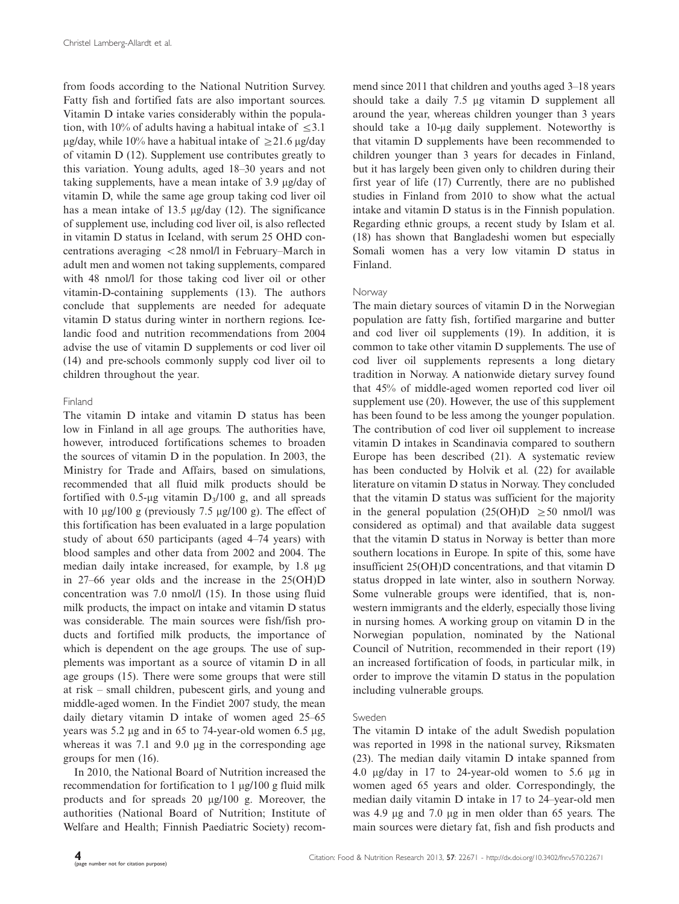from foods according to the National Nutrition Survey. Fatty fish and fortified fats are also important sources. Vitamin D intake varies considerably within the population, with 10% of adults having a habitual intake of  $\leq 3.1$ µg/day, while 10% have a habitual intake of  $\geq$ 21.6 µg/day of vitamin D (12). Supplement use contributes greatly to this variation. Young adults, aged 18-30 years and not taking supplements, have a mean intake of 3.9 mg/day of vitamin D, while the same age group taking cod liver oil has a mean intake of 13.5  $\mu$ g/day (12). The significance of supplement use, including cod liver oil, is also reflected in vitamin D status in Iceland, with serum 25 OHD concentrations averaging <28 nmol/l in February-March in adult men and women not taking supplements, compared with 48 nmol/l for those taking cod liver oil or other vitamin-D-containing supplements (13). The authors conclude that supplements are needed for adequate vitamin D status during winter in northern regions. Icelandic food and nutrition recommendations from 2004 advise the use of vitamin D supplements or cod liver oil (14) and pre-schools commonly supply cod liver oil to children throughout the year.

# Finland

The vitamin D intake and vitamin D status has been low in Finland in all age groups. The authorities have, however, introduced fortifications schemes to broaden the sources of vitamin D in the population. In 2003, the Ministry for Trade and Affairs, based on simulations, recommended that all fluid milk products should be fortified with 0.5-µg vitamin  $D_3/100$  g, and all spreads with 10  $\mu$ g/100 g (previously 7.5  $\mu$ g/100 g). The effect of this fortification has been evaluated in a large population study of about 650 participants (aged 4-74 years) with blood samples and other data from 2002 and 2004. The median daily intake increased, for example, by 1.8  $\mu$ g in 27-66 year olds and the increase in the 25(OH)D concentration was 7.0 nmol/l (15). In those using fluid milk products, the impact on intake and vitamin D status was considerable. The main sources were fish/fish products and fortified milk products, the importance of which is dependent on the age groups. The use of supplements was important as a source of vitamin D in all age groups (15). There were some groups that were still at risk - small children, pubescent girls, and young and middle-aged women. In the Findiet 2007 study, the mean daily dietary vitamin D intake of women aged 25-65 years was  $5.2 \mu$ g and in 65 to 74-year-old women 6.5  $\mu$ g, whereas it was  $7.1$  and  $9.0 \mu$ g in the corresponding age groups for men (16).

In 2010, the National Board of Nutrition increased the recommendation for fortification to  $1 \mu g/100 g$  fluid milk products and for spreads 20 µg/100 g. Moreover, the authorities (National Board of Nutrition; Institute of Welfare and Health; Finnish Paediatric Society) recommend since 2011 that children and youths aged 3-18 years should take a daily 7.5 µg vitamin D supplement all around the year, whereas children younger than 3 years should take a 10-µg daily supplement. Noteworthy is that vitamin D supplements have been recommended to children younger than 3 years for decades in Finland, but it has largely been given only to children during their first year of life (17) Currently, there are no published studies in Finland from 2010 to show what the actual intake and vitamin D status is in the Finnish population. Regarding ethnic groups, a recent study by Islam et al. (18) has shown that Bangladeshi women but especially Somali women has a very low vitamin D status in Finland.

# Norway

The main dietary sources of vitamin D in the Norwegian population are fatty fish, fortified margarine and butter and cod liver oil supplements (19). In addition, it is common to take other vitamin D supplements. The use of cod liver oil supplements represents a long dietary tradition in Norway. A nationwide dietary survey found that 45% of middle-aged women reported cod liver oil supplement use (20). However, the use of this supplement has been found to be less among the younger population. The contribution of cod liver oil supplement to increase vitamin D intakes in Scandinavia compared to southern Europe has been described (21). A systematic review has been conducted by Holvik et al. (22) for available literature on vitamin D status in Norway. They concluded that the vitamin D status was sufficient for the majority in the general population  $(25(OH)D \ge 50 \text{ nmol/l}$  was considered as optimal) and that available data suggest that the vitamin D status in Norway is better than more southern locations in Europe. In spite of this, some have insufficient 25(OH)D concentrations, and that vitamin D status dropped in late winter, also in southern Norway. Some vulnerable groups were identified, that is, nonwestern immigrants and the elderly, especially those living in nursing homes. A working group on vitamin D in the Norwegian population, nominated by the National Council of Nutrition, recommended in their report (19) an increased fortification of foods, in particular milk, in order to improve the vitamin D status in the population including vulnerable groups.

# Sweden

The vitamin D intake of the adult Swedish population was reported in 1998 in the national survey, Riksmaten (23). The median daily vitamin D intake spanned from 4.0  $\mu$ g/day in 17 to 24-year-old women to 5.6  $\mu$ g in women aged 65 years and older. Correspondingly, the median daily vitamin D intake in 17 to 24-year-old men was 4.9  $\mu$ g and 7.0  $\mu$ g in men older than 65 years. The main sources were dietary fat, fish and fish products and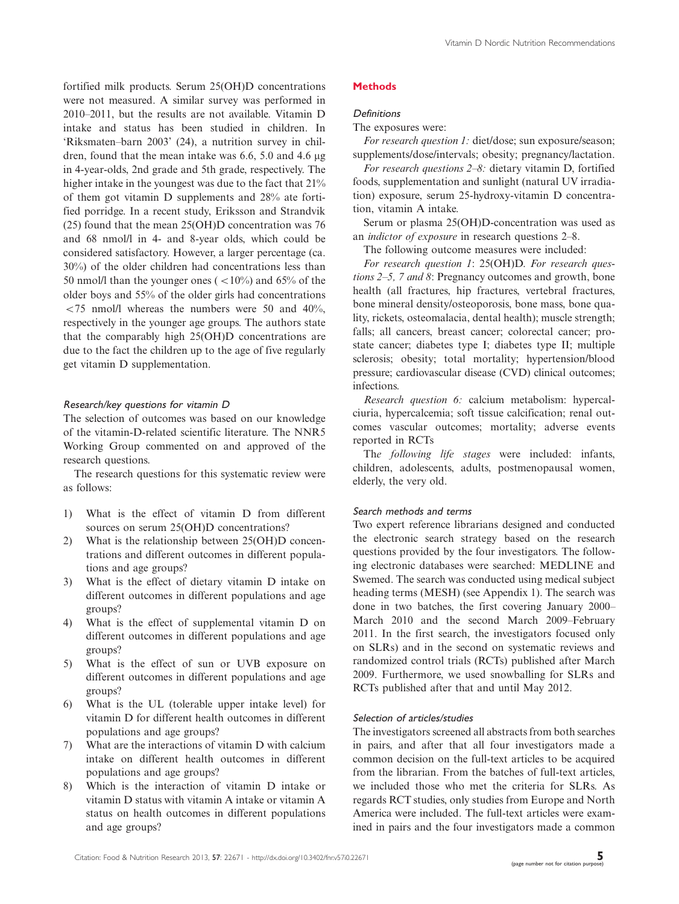fortified milk products. Serum 25(OH)D concentrations were not measured. A similar survey was performed in 2010-2011, but the results are not available. Vitamin D intake and status has been studied in children. In 'Riksmaten-barn 2003' (24), a nutrition survey in children, found that the mean intake was  $6.6$ ,  $5.0$  and  $4.6 \mu$ g in 4-year-olds, 2nd grade and 5th grade, respectively. The higher intake in the youngest was due to the fact that 21% of them got vitamin D supplements and 28% ate fortified porridge. In a recent study, Eriksson and Strandvik (25) found that the mean 25(OH)D concentration was 76 and 68 nmol/l in 4- and 8-year olds, which could be considered satisfactory. However, a larger percentage (ca. 30%) of the older children had concentrations less than 50 nmol/l than the younger ones  $(<10\%)$  and 65% of the older boys and 55% of the older girls had concentrations  $<$  75 nmol/l whereas the numbers were 50 and 40%, respectively in the younger age groups. The authors state that the comparably high 25(OH)D concentrations are due to the fact the children up to the age of five regularly get vitamin D supplementation.

# Research/key questions for vitamin D

The selection of outcomes was based on our knowledge of the vitamin-D-related scientific literature. The NNR5 Working Group commented on and approved of the research questions.

The research questions for this systematic review were as follows:

- 1) What is the effect of vitamin D from different sources on serum 25(OH)D concentrations?
- 2) What is the relationship between 25(OH)D concentrations and different outcomes in different populations and age groups?
- 3) What is the effect of dietary vitamin D intake on different outcomes in different populations and age groups?
- 4) What is the effect of supplemental vitamin D on different outcomes in different populations and age groups?
- 5) What is the effect of sun or UVB exposure on different outcomes in different populations and age groups?
- 6) What is the UL (tolerable upper intake level) for vitamin D for different health outcomes in different populations and age groups?
- 7) What are the interactions of vitamin D with calcium intake on different health outcomes in different populations and age groups?
- 8) Which is the interaction of vitamin D intake or vitamin D status with vitamin A intake or vitamin A status on health outcomes in different populations and age groups?

# **Methods**

# Definitions

The exposures were:

For research question 1: diet/dose; sun exposure/season; supplements/dose/intervals; obesity; pregnancy/lactation.

For research questions 2-8: dietary vitamin D, fortified foods, supplementation and sunlight (natural UV irradiation) exposure, serum 25-hydroxy-vitamin D concentration, vitamin A intake.

Serum or plasma 25(OH)D-concentration was used as an *indictor of exposure* in research questions 2-8.

The following outcome measures were included:

For research question 1: 25(OH)D. For research questions 2–5, 7 and 8: Pregnancy outcomes and growth, bone health (all fractures, hip fractures, vertebral fractures, bone mineral density/osteoporosis, bone mass, bone quality, rickets, osteomalacia, dental health); muscle strength; falls; all cancers, breast cancer; colorectal cancer; prostate cancer; diabetes type I; diabetes type II; multiple sclerosis; obesity; total mortality; hypertension/blood pressure; cardiovascular disease (CVD) clinical outcomes; infections.

Research question 6: calcium metabolism: hypercalciuria, hypercalcemia; soft tissue calcification; renal outcomes vascular outcomes; mortality; adverse events reported in RCTs

The following life stages were included: infants, children, adolescents, adults, postmenopausal women, elderly, the very old.

# Search methods and terms

Two expert reference librarians designed and conducted the electronic search strategy based on the research questions provided by the four investigators. The following electronic databases were searched: MEDLINE and Swemed. The search was conducted using medical subject heading terms (MESH) (see Appendix 1). The search was done in two batches, the first covering January 2000- March 2010 and the second March 2009-February 2011. In the first search, the investigators focused only on SLRs) and in the second on systematic reviews and randomized control trials (RCTs) published after March 2009. Furthermore, we used snowballing for SLRs and RCTs published after that and until May 2012.

# Selection of articles/studies

The investigators screened all abstracts from both searches in pairs, and after that all four investigators made a common decision on the full-text articles to be acquired from the librarian. From the batches of full-text articles, we included those who met the criteria for SLRs. As regards RCT studies, only studies from Europe and North America were included. The full-text articles were examined in pairs and the four investigators made a common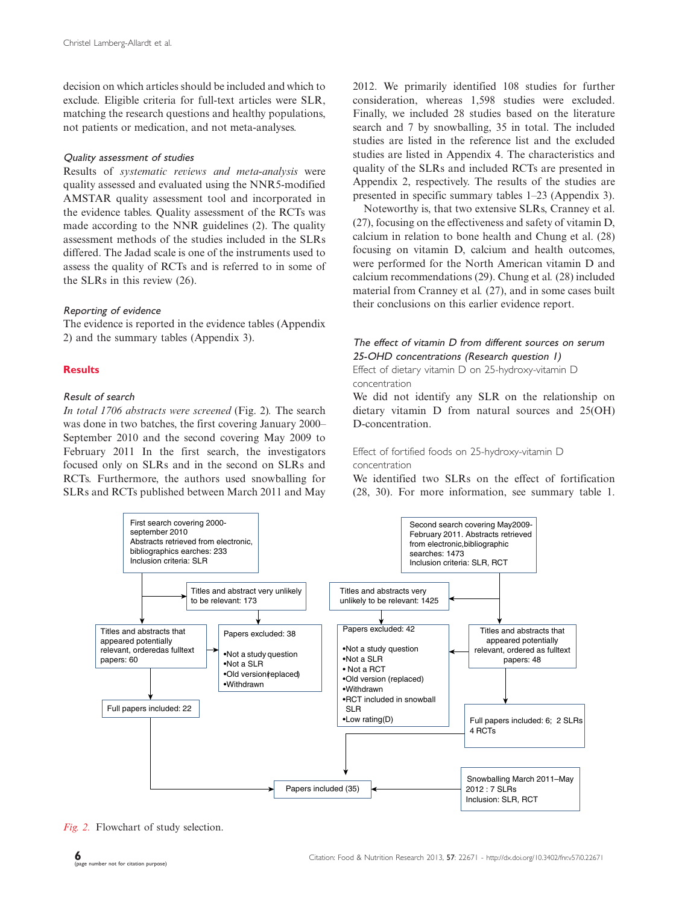decision on which articles should be included and which to exclude. Eligible criteria for full-text articles were SLR, matching the research questions and healthy populations, not patients or medication, and not meta-analyses.

### Quality assessment of studies

Results of systematic reviews and meta-analysis were quality assessed and evaluated using the NNR5-modified AMSTAR quality assessment tool and incorporated in the evidence tables. Quality assessment of the RCTs was made according to the NNR guidelines (2). The quality assessment methods of the studies included in the SLRs differed. The Jadad scale is one of the instruments used to assess the quality of RCTs and is referred to in some of the SLRs in this review (26).

# Reporting of evidence

The evidence is reported in the evidence tables (Appendix 2) and the summary tables (Appendix 3).

# Results

# Result of search

In total 1706 abstracts were screened (Fig. 2). The search was done in two batches, the first covering January 2000- September 2010 and the second covering May 2009 to February 2011 In the first search, the investigators focused only on SLRs and in the second on SLRs and RCTs. Furthermore, the authors used snowballing for SLRs and RCTs published between March 2011 and May 2012. We primarily identified 108 studies for further consideration, whereas 1,598 studies were excluded. Finally, we included 28 studies based on the literature search and 7 by snowballing, 35 in total. The included studies are listed in the reference list and the excluded studies are listed in Appendix 4. The characteristics and quality of the SLRs and included RCTs are presented in Appendix 2, respectively. The results of the studies are presented in specific [summary tables 1](http://www.foodandnutritionresearch.net/index.php/fnr/rt/suppFiles/22671/0)[-](http://www.foodandnutritionresearch.net/index.php/fnr/rt/suppFiles/22671/0)[23](http://www.foodandnutritionresearch.net/index.php/fnr/rt/suppFiles/22671/0) (Appendix 3).

Noteworthy is, that two extensive SLRs, Cranney et al. (27), focusing on the effectiveness and safety of vitamin D, calcium in relation to bone health and Chung et al. (28) focusing on vitamin D, calcium and health outcomes, were performed for the North American vitamin D and calcium recommendations (29). Chung et al. (28) included material from Cranney et al. (27), and in some cases built their conclusions on this earlier evidence report.

# The effect of vitamin D from different sources on serum 25-OHD concentrations (Research question 1)

Effect of dietary vitamin D on 25-hydroxy-vitamin D concentration

We did not identify any SLR on the relationship on dietary vitamin D from natural sources and 25(OH) D-concentration.

# Effect of fortified foods on 25-hydroxy-vitamin D concentration

We identified two SLRs on the effect of fortification (28, 30). For more information, see [summary table 1](http://www.foodandnutritionresearch.net/index.php/fnr/rt/suppFiles/22671/0).



Fig. 2. Flowchart of study selection.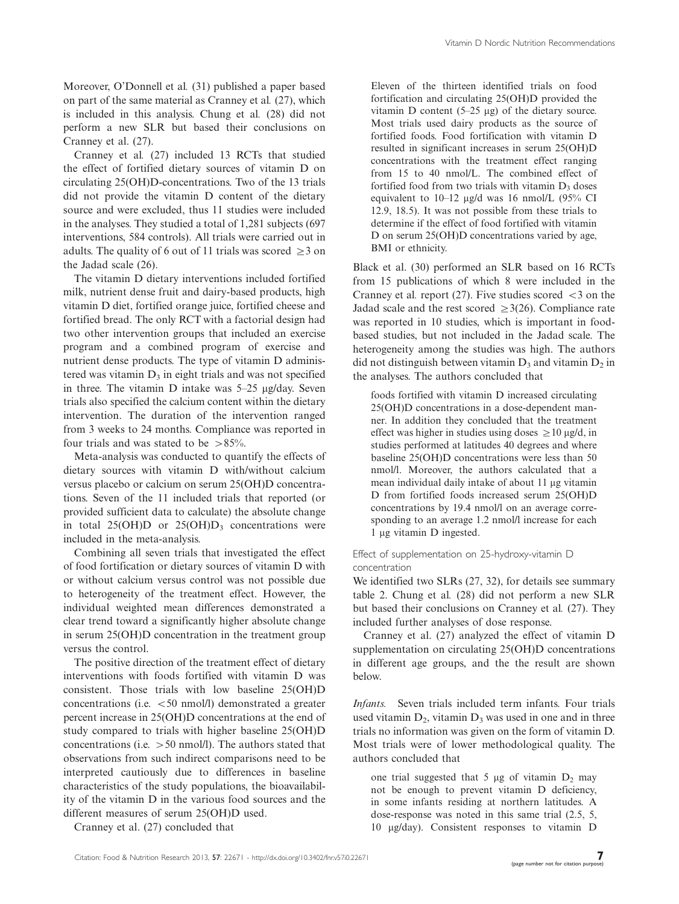Moreover, O'Donnell et al. (31) published a paper based on part of the same material as Cranney et al. (27), which is included in this analysis. Chung et al. (28) did not perform a new SLR but based their conclusions on Cranney et al. (27).

Cranney et al. (27) included 13 RCTs that studied the effect of fortified dietary sources of vitamin D on circulating 25(OH)D-concentrations. Two of the 13 trials did not provide the vitamin D content of the dietary source and were excluded, thus 11 studies were included in the analyses. They studied a total of 1,281 subjects (697 interventions, 584 controls). All trials were carried out in adults. The quality of 6 out of 11 trials was scored  $\geq$  3 on the Jadad scale (26).

The vitamin D dietary interventions included fortified milk, nutrient dense fruit and dairy-based products, high vitamin D diet, fortified orange juice, fortified cheese and fortified bread. The only RCT with a factorial design had two other intervention groups that included an exercise program and a combined program of exercise and nutrient dense products. The type of vitamin D administered was vitamin  $D_3$  in eight trials and was not specified in three. The vitamin D intake was 5-25 mg/day. Seven trials also specified the calcium content within the dietary intervention. The duration of the intervention ranged from 3 weeks to 24 months. Compliance was reported in four trials and was stated to be  $>85\%$ .

Meta-analysis was conducted to quantify the effects of dietary sources with vitamin D with/without calcium versus placebo or calcium on serum 25(OH)D concentrations. Seven of the 11 included trials that reported (or provided sufficient data to calculate) the absolute change in total  $25(OH)D$  or  $25(OH)D_3$  concentrations were included in the meta-analysis.

Combining all seven trials that investigated the effect of food fortification or dietary sources of vitamin D with or without calcium versus control was not possible due to heterogeneity of the treatment effect. However, the individual weighted mean differences demonstrated a clear trend toward a significantly higher absolute change in serum 25(OH)D concentration in the treatment group versus the control.

The positive direction of the treatment effect of dietary interventions with foods fortified with vitamin D was consistent. Those trials with low baseline 25(OH)D concentrations (i.e.  $<$  50 nmol/l) demonstrated a greater percent increase in 25(OH)D concentrations at the end of study compared to trials with higher baseline 25(OH)D concentrations (i.e.  $> 50$  nmol/l). The authors stated that observations from such indirect comparisons need to be interpreted cautiously due to differences in baseline characteristics of the study populations, the bioavailability of the vitamin D in the various food sources and the different measures of serum 25(OH)D used.

BMI or ethnicity.

Cranney et al. report  $(27)$ . Five studies scored  $\leq 3$  on the Jadad scale and the rest scored  $\geq 3(26)$ . Compliance rate was reported in 10 studies, which is important in foodbased studies, but not included in the Jadad scale. The heterogeneity among the studies was high. The authors did not distinguish between vitamin  $D_3$  and vitamin  $D_2$  in the analyses. The authors concluded that

Black et al. (30) performed an SLR based on 16 RCTs from 15 publications of which 8 were included in the

Eleven of the thirteen identified trials on food fortification and circulating 25(OH)D provided the vitamin D content  $(5-25 \mu g)$  of the dietary source. Most trials used dairy products as the source of fortified foods. Food fortification with vitamin D resulted in significant increases in serum 25(OH)D concentrations with the treatment effect ranging from 15 to 40 nmol/L. The combined effect of fortified food from two trials with vitamin  $D_3$  doses equivalent to 10–12 µg/d was 16 nmol/L (95% CI 12.9, 18.5). It was not possible from these trials to determine if the effect of food fortified with vitamin D on serum 25(OH)D concentrations varied by age,

foods fortified with vitamin D increased circulating 25(OH)D concentrations in a dose-dependent manner. In addition they concluded that the treatment effect was higher in studies using doses  $\geq 10$  µg/d, in studies performed at latitudes 40 degrees and where baseline 25(OH)D concentrations were less than 50 nmol/l. Moreover, the authors calculated that a mean individual daily intake of about 11 µg vitamin D from fortified foods increased serum 25(OH)D concentrations by 19.4 nmol/l on an average corresponding to an average 1.2 nmol/l increase for each 1 μg vitamin D ingested.

# Effect of supplementation on 25-hydroxy-vitamin D concentration

We identified two SLRs (27, 32), for details see [summary](http://www.foodandnutritionresearch.net/index.php/fnr/rt/suppFiles/22671/0) [table 2.](http://www.foodandnutritionresearch.net/index.php/fnr/rt/suppFiles/22671/0) Chung et al. (28) did not perform a new SLR but based their conclusions on Cranney et al. (27). They included further analyses of dose response.

Cranney et al. (27) analyzed the effect of vitamin D supplementation on circulating 25(OH)D concentrations in different age groups, and the the result are shown below.

Infants. Seven trials included term infants. Four trials used vitamin  $D_2$ , vitamin  $D_3$  was used in one and in three trials no information was given on the form of vitamin D. Most trials were of lower methodological quality. The authors concluded that

one trial suggested that 5  $\mu$ g of vitamin D<sub>2</sub> may not be enough to prevent vitamin D deficiency, in some infants residing at northern latitudes. A dose-response was noted in this same trial (2.5, 5, 10 mg/day). Consistent responses to vitamin D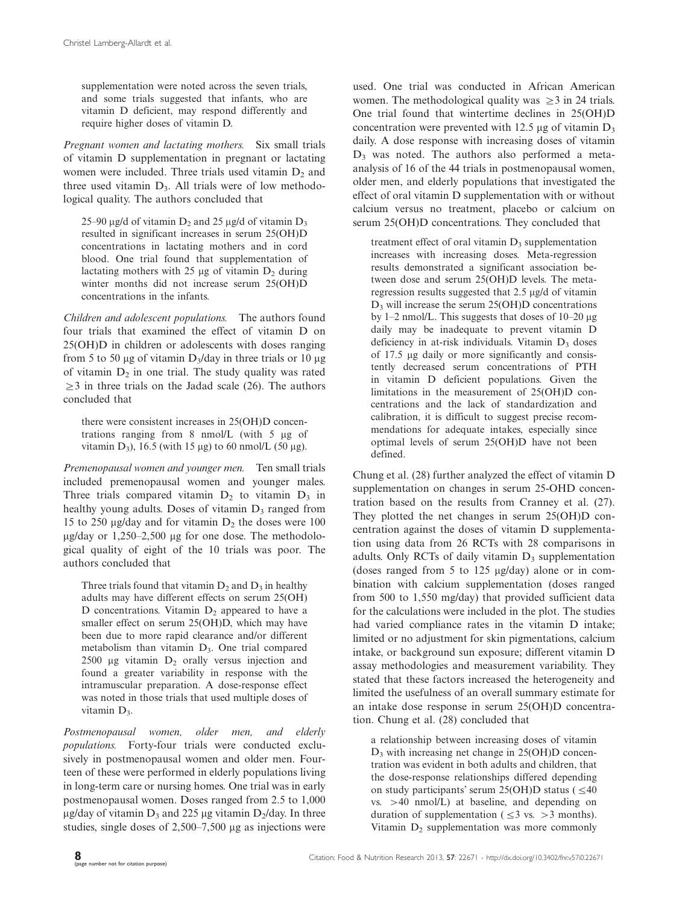supplementation were noted across the seven trials, and some trials suggested that infants, who are vitamin D deficient, may respond differently and require higher doses of vitamin D.

Pregnant women and lactating mothers. Six small trials of vitamin D supplementation in pregnant or lactating women were included. Three trials used vitamin  $D_2$  and three used vitamin  $D_3$ . All trials were of low methodological quality. The authors concluded that

25–90  $\mu$ g/d of vitamin  $D_2$  and 25  $\mu$ g/d of vitamin  $D_3$ resulted in significant increases in serum 25(OH)D concentrations in lactating mothers and in cord blood. One trial found that supplementation of lactating mothers with 25  $\mu$ g of vitamin D<sub>2</sub> during winter months did not increase serum 25(OH)D concentrations in the infants.

Children and adolescent populations. The authors found four trials that examined the effect of vitamin D on 25(OH)D in children or adolescents with doses ranging from 5 to 50  $\mu$ g of vitamin D<sub>3</sub>/day in three trials or 10  $\mu$ g of vitamin  $D_2$  in one trial. The study quality was rated  $\geq$ 3 in three trials on the Jadad scale (26). The authors concluded that

there were consistent increases in 25(OH)D concentrations ranging from  $8 \text{ nmol/L}$  (with  $5 \text{ µg}$  of vitamin D<sub>3</sub>), 16.5 (with 15  $\mu$ g) to 60 nmol/L (50  $\mu$ g).

Premenopausal women and younger men. Ten small trials included premenopausal women and younger males. Three trials compared vitamin  $D_2$  to vitamin  $D_3$  in healthy young adults. Doses of vitamin  $D_3$  ranged from 15 to 250  $\mu$ g/day and for vitamin  $D_2$  the doses were 100  $\mu$ g/day or 1,250–2,500  $\mu$ g for one dose. The methodological quality of eight of the 10 trials was poor. The authors concluded that

Three trials found that vitamin  $D_2$  and  $D_3$  in healthy adults may have different effects on serum 25(OH) D concentrations. Vitamin  $D_2$  appeared to have a smaller effect on serum 25(OH)D, which may have been due to more rapid clearance and/or different metabolism than vitamin  $D_3$ . One trial compared 2500  $\mu$ g vitamin  $D_2$  orally versus injection and found a greater variability in response with the intramuscular preparation. A dose-response effect was noted in those trials that used multiple doses of vitamin  $D_3$ .

Postmenopausal women, older men, and elderly populations. Forty-four trials were conducted exclusively in postmenopausal women and older men. Fourteen of these were performed in elderly populations living in long-term care or nursing homes. One trial was in early postmenopausal women. Doses ranged from 2.5 to 1,000  $\mu$ g/day of vitamin D<sub>3</sub> and 225  $\mu$ g vitamin D<sub>2</sub>/day. In three studies, single doses of  $2,500-7,500 \mu$ g as injections were

used. One trial was conducted in African American women. The methodological quality was  $\geq 3$  in 24 trials. One trial found that wintertime declines in 25(OH)D concentration were prevented with 12.5  $\mu$ g of vitamin D<sub>3</sub> daily. A dose response with increasing doses of vitamin  $D_3$  was noted. The authors also performed a metaanalysis of 16 of the 44 trials in postmenopausal women, older men, and elderly populations that investigated the effect of oral vitamin D supplementation with or without calcium versus no treatment, placebo or calcium on serum 25(OH)D concentrations. They concluded that

treatment effect of oral vitamin  $D_3$  supplementation increases with increasing doses. Meta-regression results demonstrated a significant association between dose and serum 25(OH)D levels. The metaregression results suggested that 2.5 mg/d of vitamin  $D_3$  will increase the serum 25(OH)D concentrations by  $1-2$  nmol/L. This suggests that doses of  $10-20$   $\mu$ g daily may be inadequate to prevent vitamin D deficiency in at-risk individuals. Vitamin  $D_3$  doses of 17.5 mg daily or more significantly and consistently decreased serum concentrations of PTH in vitamin D deficient populations. Given the limitations in the measurement of 25(OH)D concentrations and the lack of standardization and calibration, it is difficult to suggest precise recommendations for adequate intakes, especially since optimal levels of serum 25(OH)D have not been defined.

Chung et al. (28) further analyzed the effect of vitamin D supplementation on changes in serum 25-OHD concentration based on the results from Cranney et al. (27). They plotted the net changes in serum 25(OH)D concentration against the doses of vitamin D supplementation using data from 26 RCTs with 28 comparisons in adults. Only RCTs of daily vitamin  $D_3$  supplementation (doses ranged from  $5$  to  $125$   $\mu$ g/day) alone or in combination with calcium supplementation (doses ranged from 500 to 1,550 mg/day) that provided sufficient data for the calculations were included in the plot. The studies had varied compliance rates in the vitamin D intake; limited or no adjustment for skin pigmentations, calcium intake, or background sun exposure; different vitamin D assay methodologies and measurement variability. They stated that these factors increased the heterogeneity and limited the usefulness of an overall summary estimate for an intake dose response in serum 25(OH)D concentration. Chung et al. (28) concluded that

a relationship between increasing doses of vitamin D3 with increasing net change in 25(OH)D concentration was evident in both adults and children, that the dose-response relationships differed depending on study participants' serum 25(OH)D status ( $\leq 40$  $vs. > 40$  nmol/L) at baseline, and depending on duration of supplementation ( $\leq$ 3 vs. > 3 months). Vitamin  $D_2$  supplementation was more commonly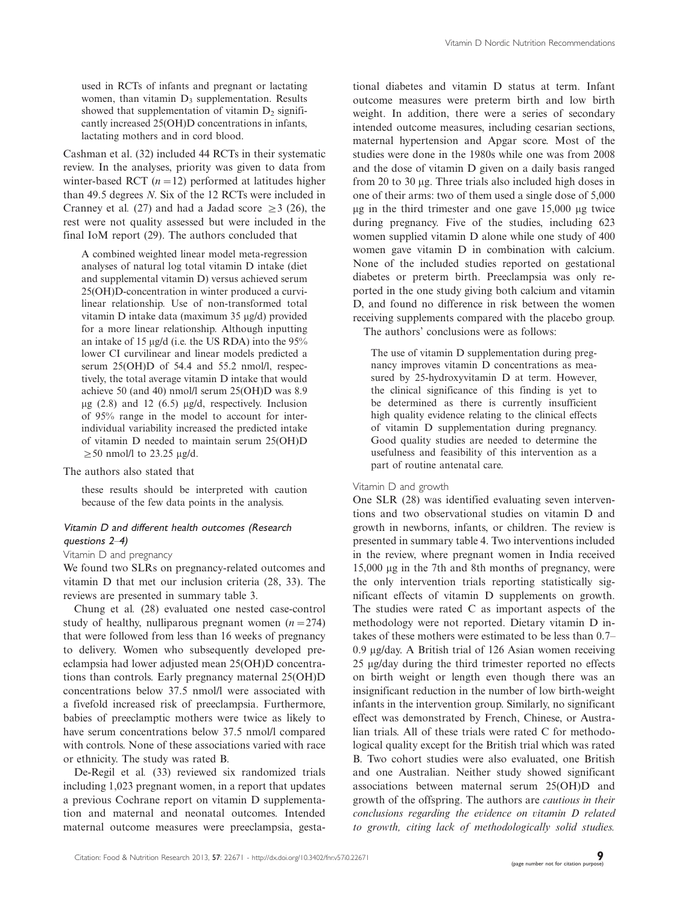used in RCTs of infants and pregnant or lactating women, than vitamin  $D_3$  supplementation. Results showed that supplementation of vitamin  $D_2$  significantly increased 25(OH)D concentrations in infants, lactating mothers and in cord blood.

Cashman et al. (32) included 44 RCTs in their systematic review. In the analyses, priority was given to data from winter-based RCT  $(n=12)$  performed at latitudes higher than 49.5 degrees N. Six of the 12 RCTs were included in Cranney et al. (27) and had a Jadad score  $\geq$  3 (26), the rest were not quality assessed but were included in the final IoM report (29). The authors concluded that

A combined weighted linear model meta-regression analyses of natural log total vitamin D intake (diet and supplemental vitamin D) versus achieved serum 25(OH)D-concentration in winter produced a curvilinear relationship. Use of non-transformed total vitamin D intake data (maximum 35 ug/d) provided for a more linear relationship. Although inputting an intake of 15  $\mu$ g/d (i.e. the US RDA) into the 95% lower CI curvilinear and linear models predicted a serum 25(OH)D of 54.4 and 55.2 nmol/l, respectively, the total average vitamin D intake that would achieve 50 (and 40) nmol/l serum 25(OH)D was 8.9  $\mu$ g (2.8) and 12 (6.5)  $\mu$ g/d, respectively. Inclusion of 95% range in the model to account for interindividual variability increased the predicted intake of vitamin D needed to maintain serum 25(OH)D  $\geq$  50 nmol/l to 23.25 µg/d.

The authors also stated that

these results should be interpreted with caution because of the few data points in the analysis.

# Vitamin D and different health outcomes (Research questions  $2-4$ )

### Vitamin D and pregnancy

We found two SLRs on pregnancy-related outcomes and vitamin D that met our inclusion criteria (28, 33). The reviews are presented in [summary table 3](http://www.foodandnutritionresearch.net/index.php/fnr/rt/suppFiles/22671/0).

Chung et al. (28) evaluated one nested case-control study of healthy, nulliparous pregnant women  $(n=274)$ that were followed from less than 16 weeks of pregnancy to delivery. Women who subsequently developed preeclampsia had lower adjusted mean 25(OH)D concentrations than controls. Early pregnancy maternal 25(OH)D concentrations below 37.5 nmol/l were associated with a fivefold increased risk of preeclampsia. Furthermore, babies of preeclamptic mothers were twice as likely to have serum concentrations below 37.5 nmol/l compared with controls. None of these associations varied with race or ethnicity. The study was rated B.

De-Regil et al. (33) reviewed six randomized trials including 1,023 pregnant women, in a report that updates a previous Cochrane report on vitamin D supplementation and maternal and neonatal outcomes. Intended maternal outcome measures were preeclampsia, gestational diabetes and vitamin D status at term. Infant outcome measures were preterm birth and low birth weight. In addition, there were a series of secondary intended outcome measures, including cesarian sections, maternal hypertension and Apgar score. Most of the studies were done in the 1980s while one was from 2008 and the dose of vitamin D given on a daily basis ranged from 20 to 30 mg. Three trials also included high doses in one of their arms: two of them used a single dose of 5,000  $\mu$ g in the third trimester and one gave 15,000  $\mu$ g twice during pregnancy. Five of the studies, including 623 women supplied vitamin D alone while one study of 400 women gave vitamin D in combination with calcium. None of the included studies reported on gestational diabetes or preterm birth. Preeclampsia was only reported in the one study giving both calcium and vitamin D, and found no difference in risk between the women receiving supplements compared with the placebo group.

The authors' conclusions were as follows:

The use of vitamin D supplementation during pregnancy improves vitamin D concentrations as measured by 25-hydroxyvitamin D at term. However, the clinical significance of this finding is yet to be determined as there is currently insufficient high quality evidence relating to the clinical effects of vitamin D supplementation during pregnancy. Good quality studies are needed to determine the usefulness and feasibility of this intervention as a part of routine antenatal care.

# Vitamin D and growth

One SLR (28) was identified evaluating seven interventions and two observational studies on vitamin D and growth in newborns, infants, or children. The review is presented in [summary table 4](http://www.foodandnutritionresearch.net/index.php/fnr/rt/suppFiles/22671/0). Two interventions included in the review, where pregnant women in India received  $15,000 \mu g$  in the 7th and 8th months of pregnancy, were the only intervention trials reporting statistically significant effects of vitamin D supplements on growth. The studies were rated C as important aspects of the methodology were not reported. Dietary vitamin D intakes of these mothers were estimated to be less than 0.7-  $0.9 \mu$ g/day. A British trial of 126 Asian women receiving 25 mg/day during the third trimester reported no effects on birth weight or length even though there was an insignificant reduction in the number of low birth-weight infants in the intervention group. Similarly, no significant effect was demonstrated by French, Chinese, or Australian trials. All of these trials were rated C for methodological quality except for the British trial which was rated B. Two cohort studies were also evaluated, one British and one Australian. Neither study showed significant associations between maternal serum 25(OH)D and growth of the offspring. The authors are cautious in their conclusions regarding the evidence on vitamin D related to growth, citing lack of methodologically solid studies.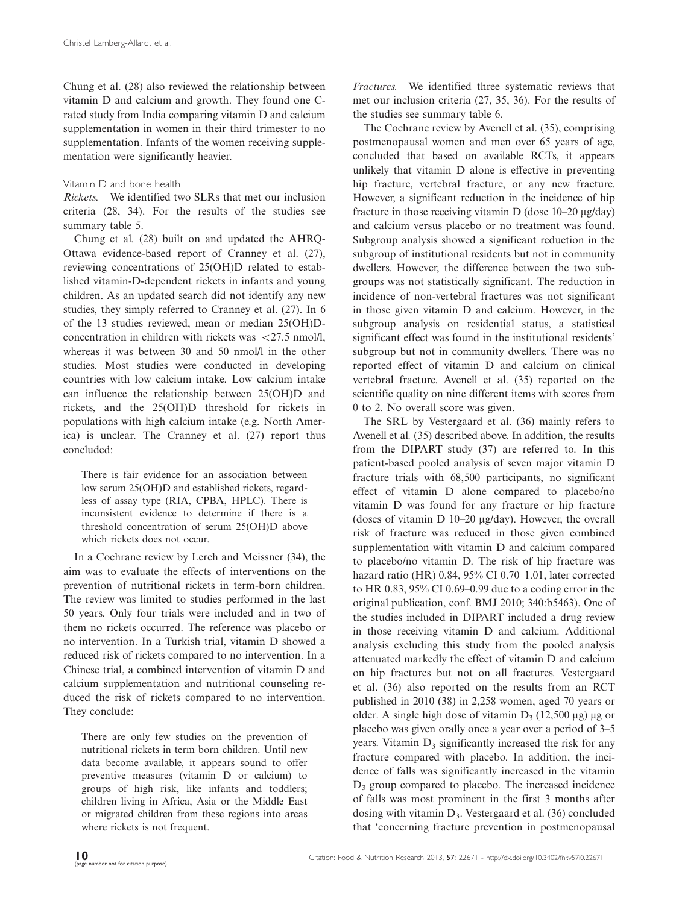Chung et al. (28) also reviewed the relationship between vitamin D and calcium and growth. They found one Crated study from India comparing vitamin D and calcium supplementation in women in their third trimester to no supplementation. Infants of the women receiving supplementation were significantly heavier.

### Vitamin D and bone health

Rickets. We identified two SLRs that met our inclusion criteria (28, 34). For the results of the studies see [summary table 5](http://www.foodandnutritionresearch.net/index.php/fnr/rt/suppFiles/22671/0).

Chung et al. (28) built on and updated the AHRQ-Ottawa evidence-based report of Cranney et al. (27), reviewing concentrations of 25(OH)D related to established vitamin-D-dependent rickets in infants and young children. As an updated search did not identify any new studies, they simply referred to Cranney et al. (27). In 6 of the 13 studies reviewed, mean or median 25(OH)Dconcentration in children with rickets was  $\langle 27.5 \text{ nmol/l.} \rangle$ whereas it was between 30 and 50 nmol/l in the other studies. Most studies were conducted in developing countries with low calcium intake. Low calcium intake can influence the relationship between 25(OH)D and rickets, and the 25(OH)D threshold for rickets in populations with high calcium intake (e.g. North America) is unclear. The Cranney et al. (27) report thus concluded:

There is fair evidence for an association between low serum 25(OH)D and established rickets, regardless of assay type (RIA, CPBA, HPLC). There is inconsistent evidence to determine if there is a threshold concentration of serum 25(OH)D above which rickets does not occur.

In a Cochrane review by Lerch and Meissner (34), the aim was to evaluate the effects of interventions on the prevention of nutritional rickets in term-born children. The review was limited to studies performed in the last 50 years. Only four trials were included and in two of them no rickets occurred. The reference was placebo or no intervention. In a Turkish trial, vitamin D showed a reduced risk of rickets compared to no intervention. In a Chinese trial, a combined intervention of vitamin D and calcium supplementation and nutritional counseling reduced the risk of rickets compared to no intervention. They conclude:

There are only few studies on the prevention of nutritional rickets in term born children. Until new data become available, it appears sound to offer preventive measures (vitamin D or calcium) to groups of high risk, like infants and toddlers; children living in Africa, Asia or the Middle East or migrated children from these regions into areas where rickets is not frequent.

Fractures. We identified three systematic reviews that met our inclusion criteria (27, 35, 36). For the results of the studies see [summary table 6.](http://www.foodandnutritionresearch.net/index.php/fnr/rt/suppFiles/22671/0)

The Cochrane review by Avenell et al. (35), comprising postmenopausal women and men over 65 years of age, concluded that based on available RCTs, it appears unlikely that vitamin D alone is effective in preventing hip fracture, vertebral fracture, or any new fracture. However, a significant reduction in the incidence of hip fracture in those receiving vitamin D (dose  $10-20 \mu g/day$ ) and calcium versus placebo or no treatment was found. Subgroup analysis showed a significant reduction in the subgroup of institutional residents but not in community dwellers. However, the difference between the two subgroups was not statistically significant. The reduction in incidence of non-vertebral fractures was not significant in those given vitamin D and calcium. However, in the subgroup analysis on residential status, a statistical significant effect was found in the institutional residents' subgroup but not in community dwellers. There was no reported effect of vitamin D and calcium on clinical vertebral fracture. Avenell et al. (35) reported on the scientific quality on nine different items with scores from 0 to 2. No overall score was given.

The SRL by Vestergaard et al. (36) mainly refers to Avenell et al. (35) described above. In addition, the results from the DIPART study (37) are referred to. In this patient-based pooled analysis of seven major vitamin D fracture trials with 68,500 participants, no significant effect of vitamin D alone compared to placebo/no vitamin D was found for any fracture or hip fracture (doses of vitamin D 10-20 mg/day). However, the overall risk of fracture was reduced in those given combined supplementation with vitamin D and calcium compared to placebo/no vitamin D. The risk of hip fracture was hazard ratio (HR) 0.84, 95% CI 0.70-1.01, later corrected to HR 0.83, 95% CI 0.69-0.99 due to a coding error in the original publication, conf. BMJ 2010; 340:b5463). One of the studies included in DIPART included a drug review in those receiving vitamin D and calcium. Additional analysis excluding this study from the pooled analysis attenuated markedly the effect of vitamin D and calcium on hip fractures but not on all fractures. Vestergaard et al. (36) also reported on the results from an RCT published in 2010 (38) in 2,258 women, aged 70 years or older. A single high dose of vitamin  $D_3$  (12,500 µg) µg or placebo was given orally once a year over a period of 3-5 years. Vitamin  $D_3$  significantly increased the risk for any fracture compared with placebo. In addition, the incidence of falls was significantly increased in the vitamin  $D_3$  group compared to placebo. The increased incidence of falls was most prominent in the first 3 months after dosing with vitamin  $D_3$ . Vestergaard et al. (36) concluded that 'concerning fracture prevention in postmenopausal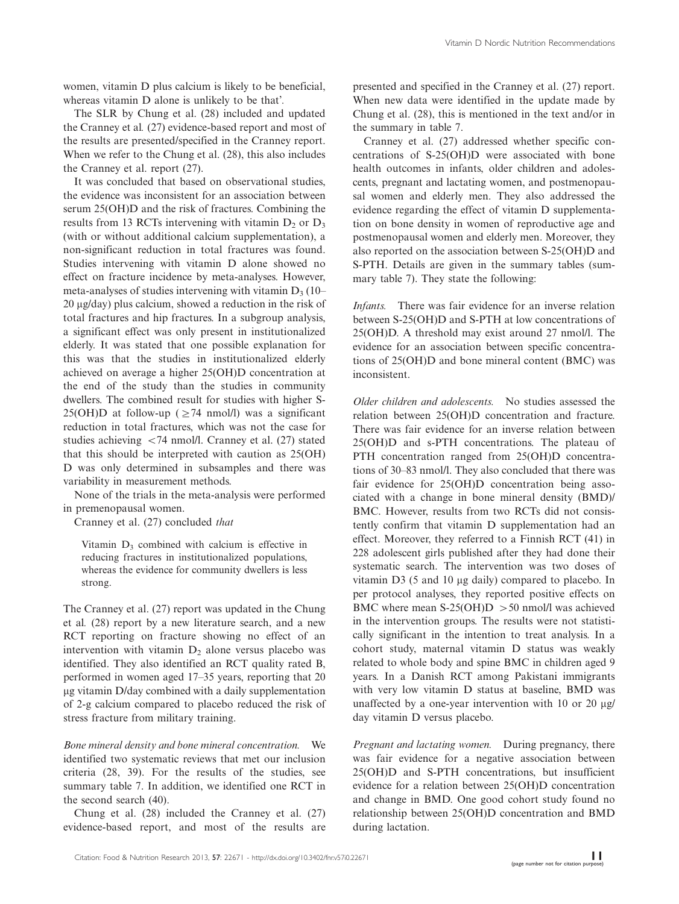women, vitamin D plus calcium is likely to be beneficial, whereas vitamin D alone is unlikely to be that'.

The SLR by Chung et al. (28) included and updated the Cranney et al. (27) evidence-based report and most of the results are presented/specified in the Cranney report. When we refer to the Chung et al. (28), this also includes the Cranney et al. report (27).

It was concluded that based on observational studies, the evidence was inconsistent for an association between serum 25(OH)D and the risk of fractures. Combining the results from 13 RCTs intervening with vitamin  $D_2$  or  $D_3$ (with or without additional calcium supplementation), a non-significant reduction in total fractures was found. Studies intervening with vitamin D alone showed no effect on fracture incidence by meta-analyses. However, meta-analyses of studies intervening with vitamin  $D_3$  (10–  $20 \mu$ g/day) plus calcium, showed a reduction in the risk of total fractures and hip fractures. In a subgroup analysis, a significant effect was only present in institutionalized elderly. It was stated that one possible explanation for this was that the studies in institutionalized elderly achieved on average a higher 25(OH)D concentration at the end of the study than the studies in community dwellers. The combined result for studies with higher S-25(OH)D at follow-up ( $\geq$ 74 nmol/l) was a significant reduction in total fractures, which was not the case for studies achieving  $\langle 74 \text{ nmol/l.}$  Cranney et al. (27) stated that this should be interpreted with caution as 25(OH) D was only determined in subsamples and there was variability in measurement methods.

None of the trials in the meta-analysis were performed in premenopausal women.

Cranney et al. (27) concluded that

Vitamin  $D_3$  combined with calcium is effective in reducing fractures in institutionalized populations, whereas the evidence for community dwellers is less strong.

The Cranney et al. (27) report was updated in the Chung et al. (28) report by a new literature search, and a new RCT reporting on fracture showing no effect of an intervention with vitamin  $D<sub>2</sub>$  alone versus placebo was identified. They also identified an RCT quality rated B, performed in women aged 17-35 years, reporting that 20 µg vitamin D/day combined with a daily supplementation of 2-g calcium compared to placebo reduced the risk of stress fracture from military training.

Bone mineral density and bone mineral concentration. We identified two systematic reviews that met our inclusion criteria (28, 39). For the results of the studies, see [summary table 7.](http://www.foodandnutritionresearch.net/index.php/fnr/rt/suppFiles/22671/0) In addition, we identified one RCT in the second search (40).

Chung et al. (28) included the Cranney et al. (27) evidence-based report, and most of the results are presented and specified in the Cranney et al. (27) report. When new data were identified in the update made by Chung et al. (28), this is mentioned in the text and/or in the [summary in table 7](http://www.foodandnutritionresearch.net/index.php/fnr/rt/suppFiles/22671/0).

Cranney et al. (27) addressed whether specific concentrations of S-25(OH)D were associated with bone health outcomes in infants, older children and adolescents, pregnant and lactating women, and postmenopausal women and elderly men. They also addressed the evidence regarding the effect of vitamin D supplementation on bone density in women of reproductive age and postmenopausal women and elderly men. Moreover, they also reported on the association between S-25(OH)D and S-PTH. Details are given in the summary tables ([sum](http://www.foodandnutritionresearch.net/index.php/fnr/rt/suppFiles/22671/0)[mary table 7\)](http://www.foodandnutritionresearch.net/index.php/fnr/rt/suppFiles/22671/0). They state the following:

Infants. There was fair evidence for an inverse relation between S-25(OH)D and S-PTH at low concentrations of 25(OH)D. A threshold may exist around 27 nmol/l. The evidence for an association between specific concentrations of 25(OH)D and bone mineral content (BMC) was inconsistent.

Older children and adolescents. No studies assessed the relation between 25(OH)D concentration and fracture. There was fair evidence for an inverse relation between 25(OH)D and s-PTH concentrations. The plateau of PTH concentration ranged from 25(OH)D concentrations of 30-83 nmol/l. They also concluded that there was fair evidence for 25(OH)D concentration being associated with a change in bone mineral density (BMD)/ BMC. However, results from two RCTs did not consistently confirm that vitamin D supplementation had an effect. Moreover, they referred to a Finnish RCT (41) in 228 adolescent girls published after they had done their systematic search. The intervention was two doses of vitamin D3 (5 and 10 µg daily) compared to placebo. In per protocol analyses, they reported positive effects on BMC where mean S-25(OH)D  $>$  50 nmol/l was achieved in the intervention groups. The results were not statistically significant in the intention to treat analysis. In a cohort study, maternal vitamin D status was weakly related to whole body and spine BMC in children aged 9 years. In a Danish RCT among Pakistani immigrants with very low vitamin D status at baseline, BMD was unaffected by a one-year intervention with 10 or 20  $\mu$ g/ day vitamin D versus placebo.

Pregnant and lactating women. During pregnancy, there was fair evidence for a negative association between 25(OH)D and S-PTH concentrations, but insufficient evidence for a relation between 25(OH)D concentration and change in BMD. One good cohort study found no relationship between 25(OH)D concentration and BMD during lactation.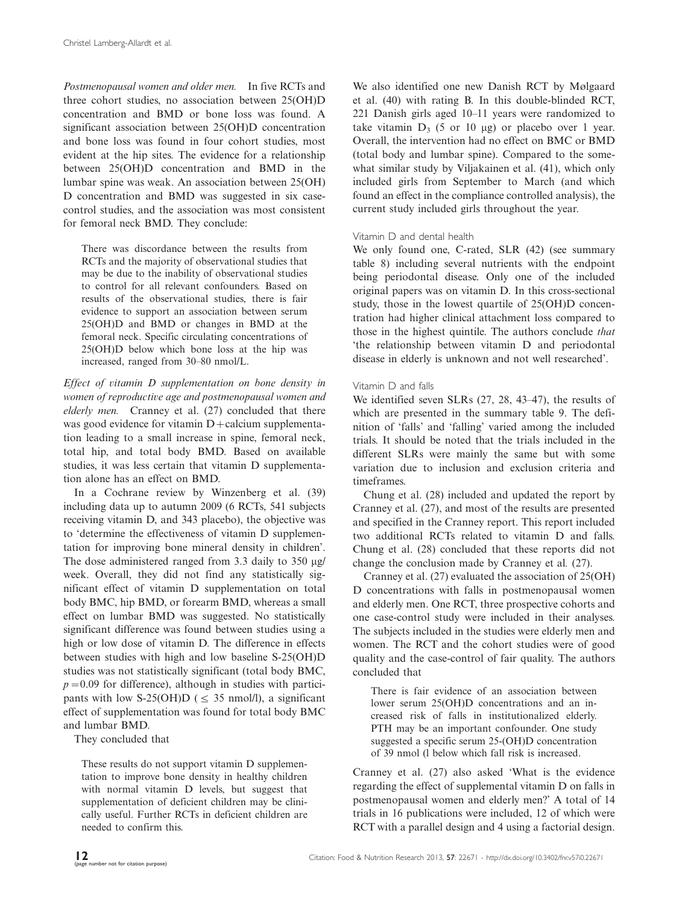Postmenopausal women and older men. In five RCTs and three cohort studies, no association between 25(OH)D concentration and BMD or bone loss was found. A significant association between 25(OH)D concentration and bone loss was found in four cohort studies, most evident at the hip sites. The evidence for a relationship between 25(OH)D concentration and BMD in the lumbar spine was weak. An association between 25(OH) D concentration and BMD was suggested in six casecontrol studies, and the association was most consistent for femoral neck BMD. They conclude:

There was discordance between the results from RCTs and the majority of observational studies that may be due to the inability of observational studies to control for all relevant confounders. Based on results of the observational studies, there is fair evidence to support an association between serum 25(OH)D and BMD or changes in BMD at the femoral neck. Specific circulating concentrations of 25(OH)D below which bone loss at the hip was increased, ranged from 30-80 nmol/L.

Effect of vitamin D supplementation on bone density in women of reproductive age and postmenopausal women and elderly men. Cranney et al. (27) concluded that there was good evidence for vitamin  $D +$ calcium supplementation leading to a small increase in spine, femoral neck, total hip, and total body BMD. Based on available studies, it was less certain that vitamin D supplementation alone has an effect on BMD.

In a Cochrane review by Winzenberg et al. (39) including data up to autumn 2009 (6 RCTs, 541 subjects receiving vitamin D, and 343 placebo), the objective was to 'determine the effectiveness of vitamin D supplementation for improving bone mineral density in children'. The dose administered ranged from 3.3 daily to 350 µg/ week. Overall, they did not find any statistically significant effect of vitamin D supplementation on total body BMC, hip BMD, or forearm BMD, whereas a small effect on lumbar BMD was suggested. No statistically significant difference was found between studies using a high or low dose of vitamin D. The difference in effects between studies with high and low baseline S-25(OH)D studies was not statistically significant (total body BMC,  $p=0.09$  for difference), although in studies with participants with low S-25(OH)D ( $\leq$  35 nmol/l), a significant effect of supplementation was found for total body BMC and lumbar BMD.

They concluded that

These results do not support vitamin D supplementation to improve bone density in healthy children with normal vitamin D levels, but suggest that supplementation of deficient children may be clinically useful. Further RCTs in deficient children are needed to confirm this.

We also identified one new Danish RCT by Mølgaard et al. (40) with rating B. In this double-blinded RCT, 221 Danish girls aged 10-11 years were randomized to take vitamin  $D_3$  (5 or 10 µg) or placebo over 1 year. Overall, the intervention had no effect on BMC or BMD (total body and lumbar spine). Compared to the somewhat similar study by Viljakainen et al. (41), which only included girls from September to March (and which found an effect in the compliance controlled analysis), the current study included girls throughout the year.

# Vitamin D and dental health

We only found one, C-rated, SLR (42) [\(see summary](http://www.foodandnutritionresearch.net/index.php/fnr/rt/suppFiles/22671/0) [table 8\)](http://www.foodandnutritionresearch.net/index.php/fnr/rt/suppFiles/22671/0) including several nutrients with the endpoint being periodontal disease. Only one of the included original papers was on vitamin D. In this cross-sectional study, those in the lowest quartile of 25(OH)D concentration had higher clinical attachment loss compared to those in the highest quintile. The authors conclude that 'the relationship between vitamin D and periodontal disease in elderly is unknown and not well researched'.

# Vitamin D and falls

We identified seven SLRs (27, 28, 43-47), the results of which are presented in the [summary table 9](http://www.foodandnutritionresearch.net/index.php/fnr/rt/suppFiles/22671/0). The definition of 'falls' and 'falling' varied among the included trials. It should be noted that the trials included in the different SLRs were mainly the same but with some variation due to inclusion and exclusion criteria and timeframes.

Chung et al. (28) included and updated the report by Cranney et al. (27), and most of the results are presented and specified in the Cranney report. This report included two additional RCTs related to vitamin D and falls. Chung et al. (28) concluded that these reports did not change the conclusion made by Cranney et al. (27).

Cranney et al. (27) evaluated the association of 25(OH) D concentrations with falls in postmenopausal women and elderly men. One RCT, three prospective cohorts and one case-control study were included in their analyses. The subjects included in the studies were elderly men and women. The RCT and the cohort studies were of good quality and the case-control of fair quality. The authors concluded that

There is fair evidence of an association between lower serum 25(OH)D concentrations and an increased risk of falls in institutionalized elderly. PTH may be an important confounder. One study suggested a specific serum 25-(OH)D concentration of 39 nmol (l below which fall risk is increased.

Cranney et al. (27) also asked 'What is the evidence regarding the effect of supplemental vitamin D on falls in postmenopausal women and elderly men?' A total of 14 trials in 16 publications were included, 12 of which were RCT with a parallel design and 4 using a factorial design.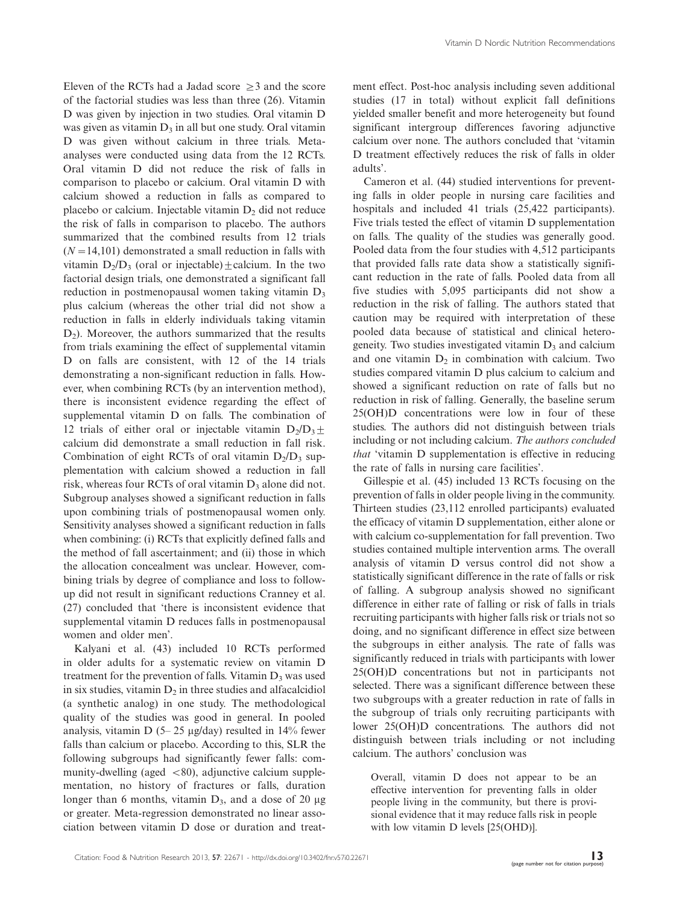Eleven of the RCTs had a Jadad score  $\geq$ 3 and the score of the factorial studies was less than three (26). Vitamin D was given by injection in two studies. Oral vitamin D was given as vitamin  $D_3$  in all but one study. Oral vitamin D was given without calcium in three trials. Metaanalyses were conducted using data from the 12 RCTs. Oral vitamin D did not reduce the risk of falls in comparison to placebo or calcium. Oral vitamin D with calcium showed a reduction in falls as compared to placebo or calcium. Injectable vitamin  $D_2$  did not reduce the risk of falls in comparison to placebo. The authors summarized that the combined results from 12 trials  $(N=14,101)$  demonstrated a small reduction in falls with vitamin  $D_2/D_3$  (oral or injectable)+calcium. In the two factorial design trials, one demonstrated a significant fall reduction in postmenopausal women taking vitamin  $D_3$ plus calcium (whereas the other trial did not show a reduction in falls in elderly individuals taking vitamin  $D_2$ ). Moreover, the authors summarized that the results from trials examining the effect of supplemental vitamin D on falls are consistent, with 12 of the 14 trials demonstrating a non-significant reduction in falls. However, when combining RCTs (by an intervention method), there is inconsistent evidence regarding the effect of supplemental vitamin D on falls. The combination of 12 trials of either oral or injectable vitamin  $D_2/D_3 \pm$ calcium did demonstrate a small reduction in fall risk. Combination of eight RCTs of oral vitamin  $D_2/D_3$  supplementation with calcium showed a reduction in fall risk, whereas four RCTs of oral vitamin  $D_3$  alone did not. Subgroup analyses showed a significant reduction in falls upon combining trials of postmenopausal women only. Sensitivity analyses showed a significant reduction in falls when combining: (i) RCTs that explicitly defined falls and the method of fall ascertainment; and (ii) those in which the allocation concealment was unclear. However, combining trials by degree of compliance and loss to followup did not result in significant reductions Cranney et al. (27) concluded that 'there is inconsistent evidence that supplemental vitamin D reduces falls in postmenopausal women and older men'.

Kalyani et al. (43) included 10 RCTs performed in older adults for a systematic review on vitamin D treatment for the prevention of falls. Vitamin  $D_3$  was used in six studies, vitamin  $D<sub>2</sub>$  in three studies and alfacalcidiol (a synthetic analog) in one study. The methodological quality of the studies was good in general. In pooled analysis, vitamin D (5- 25 mg/day) resulted in 14% fewer falls than calcium or placebo. According to this, SLR the following subgroups had significantly fewer falls: community-dwelling (aged  $\langle 80 \rangle$ , adjunctive calcium supplementation, no history of fractures or falls, duration longer than 6 months, vitamin  $D_3$ , and a dose of 20  $\mu$ g or greater. Meta-regression demonstrated no linear association between vitamin D dose or duration and treatment effect. Post-hoc analysis including seven additional studies (17 in total) without explicit fall definitions yielded smaller benefit and more heterogeneity but found significant intergroup differences favoring adjunctive calcium over none. The authors concluded that 'vitamin D treatment effectively reduces the risk of falls in older adults'.

Cameron et al. (44) studied interventions for preventing falls in older people in nursing care facilities and hospitals and included 41 trials (25,422 participants). Five trials tested the effect of vitamin D supplementation on falls. The quality of the studies was generally good. Pooled data from the four studies with 4,512 participants that provided falls rate data show a statistically significant reduction in the rate of falls. Pooled data from all five studies with 5,095 participants did not show a reduction in the risk of falling. The authors stated that caution may be required with interpretation of these pooled data because of statistical and clinical heterogeneity. Two studies investigated vitamin  $D_3$  and calcium and one vitamin  $D_2$  in combination with calcium. Two studies compared vitamin D plus calcium to calcium and showed a significant reduction on rate of falls but no reduction in risk of falling. Generally, the baseline serum 25(OH)D concentrations were low in four of these studies. The authors did not distinguish between trials including or not including calcium. The authors concluded that 'vitamin D supplementation is effective in reducing the rate of falls in nursing care facilities'.

Gillespie et al. (45) included 13 RCTs focusing on the prevention of falls in older people living in the community. Thirteen studies (23,112 enrolled participants) evaluated the efficacy of vitamin D supplementation, either alone or with calcium co-supplementation for fall prevention. Two studies contained multiple intervention arms. The overall analysis of vitamin D versus control did not show a statistically significant difference in the rate of falls or risk of falling. A subgroup analysis showed no significant difference in either rate of falling or risk of falls in trials recruiting participants with higher falls risk or trials not so doing, and no significant difference in effect size between the subgroups in either analysis. The rate of falls was significantly reduced in trials with participants with lower 25(OH)D concentrations but not in participants not selected. There was a significant difference between these two subgroups with a greater reduction in rate of falls in the subgroup of trials only recruiting participants with lower 25(OH)D concentrations. The authors did not distinguish between trials including or not including calcium. The authors' conclusion was

Overall, vitamin D does not appear to be an effective intervention for preventing falls in older people living in the community, but there is provisional evidence that it may reduce falls risk in people with low vitamin D levels [25(OHD)].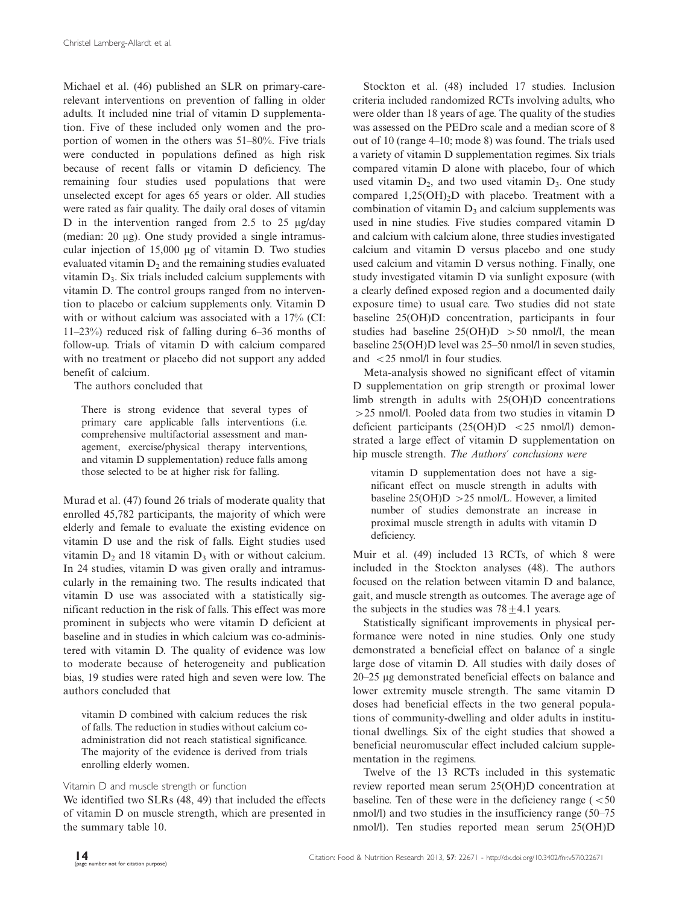Michael et al. (46) published an SLR on primary-carerelevant interventions on prevention of falling in older adults. It included nine trial of vitamin D supplementation. Five of these included only women and the proportion of women in the others was 51-80%. Five trials were conducted in populations defined as high risk because of recent falls or vitamin D deficiency. The remaining four studies used populations that were unselected except for ages 65 years or older. All studies were rated as fair quality. The daily oral doses of vitamin D in the intervention ranged from 2.5 to 25  $\mu$ g/day (median:  $20 \mu$ g). One study provided a single intramuscular injection of  $15,000 \mu$ g of vitamin D. Two studies evaluated vitamin  $D_2$  and the remaining studies evaluated vitamin  $D_3$ . Six trials included calcium supplements with vitamin D. The control groups ranged from no intervention to placebo or calcium supplements only. Vitamin D with or without calcium was associated with a  $17\%$  (CI: 11-23%) reduced risk of falling during 6-36 months of follow-up. Trials of vitamin D with calcium compared with no treatment or placebo did not support any added benefit of calcium.

The authors concluded that

There is strong evidence that several types of primary care applicable falls interventions (i.e. comprehensive multifactorial assessment and management, exercise/physical therapy interventions, and vitamin D supplementation) reduce falls among those selected to be at higher risk for falling.

Murad et al. (47) found 26 trials of moderate quality that enrolled 45,782 participants, the majority of which were elderly and female to evaluate the existing evidence on vitamin D use and the risk of falls. Eight studies used vitamin  $D_2$  and 18 vitamin  $D_3$  with or without calcium. In 24 studies, vitamin D was given orally and intramuscularly in the remaining two. The results indicated that vitamin D use was associated with a statistically significant reduction in the risk of falls. This effect was more prominent in subjects who were vitamin D deficient at baseline and in studies in which calcium was co-administered with vitamin D. The quality of evidence was low to moderate because of heterogeneity and publication bias, 19 studies were rated high and seven were low. The authors concluded that

vitamin D combined with calcium reduces the risk of falls. The reduction in studies without calcium coadministration did not reach statistical significance. The majority of the evidence is derived from trials enrolling elderly women.

### Vitamin D and muscle strength or function

We identified two SLRs (48, 49) that included the effects of vitamin D on muscle strength, which are presented in the [summary table 10.](http://www.foodandnutritionresearch.net/index.php/fnr/rt/suppFiles/22671/0)

Stockton et al. (48) included 17 studies. Inclusion criteria included randomized RCTs involving adults, who were older than 18 years of age. The quality of the studies was assessed on the PEDro scale and a median score of 8 out of 10 (range 4-10; mode 8) was found. The trials used a variety of vitamin D supplementation regimes. Six trials compared vitamin D alone with placebo, four of which used vitamin  $D_2$ , and two used vitamin  $D_3$ . One study compared  $1,25(OH)_{2}D$  with placebo. Treatment with a combination of vitamin  $D_3$  and calcium supplements was used in nine studies. Five studies compared vitamin D and calcium with calcium alone, three studies investigated calcium and vitamin D versus placebo and one study used calcium and vitamin D versus nothing. Finally, one study investigated vitamin D via sunlight exposure (with a clearly defined exposed region and a documented daily exposure time) to usual care. Two studies did not state baseline 25(OH)D concentration, participants in four studies had baseline  $25(OH)D > 50$  nmol/l, the mean baseline 25(OH)D level was 25-50 nmol/l in seven studies, and  $\langle 25 \text{ nmol/l} \rangle$  in four studies.

Meta-analysis showed no significant effect of vitamin D supplementation on grip strength or proximal lower limb strength in adults with 25(OH)D concentrations -25 nmol/l. Pooled data from two studies in vitamin D deficient participants  $(25(OH)D < 25$  nmol/l) demonstrated a large effect of vitamin D supplementation on hip muscle strength. The Authors' conclusions were

vitamin D supplementation does not have a significant effect on muscle strength in adults with baseline  $25(OH)D > 25$  nmol/L. However, a limited number of studies demonstrate an increase in proximal muscle strength in adults with vitamin D deficiency.

Muir et al. (49) included 13 RCTs, of which 8 were included in the Stockton analyses (48). The authors focused on the relation between vitamin D and balance, gait, and muscle strength as outcomes. The average age of the subjects in the studies was  $78 \pm 4.1$  years.

Statistically significant improvements in physical performance were noted in nine studies. Only one study demonstrated a beneficial effect on balance of a single large dose of vitamin D. All studies with daily doses of 20-25 mg demonstrated beneficial effects on balance and lower extremity muscle strength. The same vitamin D doses had beneficial effects in the two general populations of community-dwelling and older adults in institutional dwellings. Six of the eight studies that showed a beneficial neuromuscular effect included calcium supplementation in the regimens.

Twelve of the 13 RCTs included in this systematic review reported mean serum 25(OH)D concentration at baseline. Ten of these were in the deficiency range  $\epsilon$  <50 nmol/l) and two studies in the insufficiency range (50-75 nmol/l). Ten studies reported mean serum 25(OH)D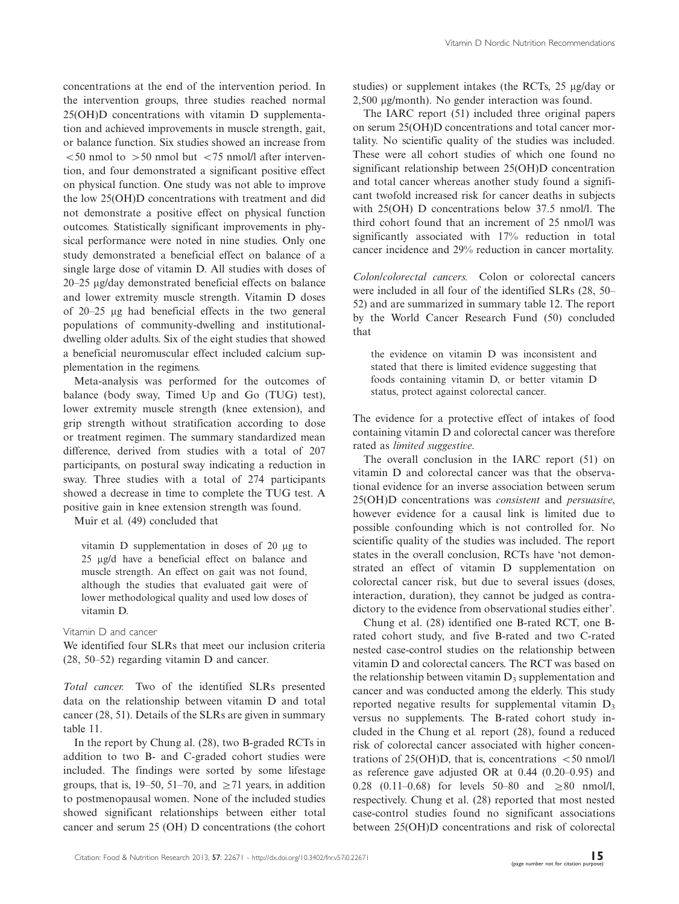concentrations at the end of the intervention period. In the intervention groups, three studies reached normal 25(OH)D concentrations with vitamin D supplementation and achieved improvements in muscle strength, gait, or balance function. Six studies showed an increase from  $\leq$  50 nmol to  $>$  50 nmol but  $\leq$  75 nmol/l after intervention, and four demonstrated a significant positive effect on physical function. One study was not able to improve the low 25(OH)D concentrations with treatment and did not demonstrate a positive effect on physical function outcomes. Statistically significant improvements in physical performance were noted in nine studies. Only one study demonstrated a beneficial effect on balance of a single large dose of vitamin D. All studies with doses of 20-25 mg/day demonstrated beneficial effects on balance and lower extremity muscle strength. Vitamin D doses of 20-25 mg had beneficial effects in the two general populations of community-dwelling and institutionaldwelling older adults. Six of the eight studies that showed a beneficial neuromuscular effect included calcium supplementation in the regimens.

Meta-analysis was performed for the outcomes of balance (body sway, Timed Up and Go (TUG) test), lower extremity muscle strength (knee extension), and grip strength without stratification according to dose or treatment regimen. The summary standardized mean difference, derived from studies with a total of 207 participants, on postural sway indicating a reduction in sway. Three studies with a total of 274 participants showed a decrease in time to complete the TUG test. A positive gain in knee extension strength was found.

Muir et al. (49) concluded that

vitamin D supplementation in doses of 20 mg to 25 mg/d have a beneficial effect on balance and muscle strength. An effect on gait was not found, although the studies that evaluated gait were of lower methodological quality and used low doses of vitamin D.

### Vitamin D and cancer

We identified four SLRs that meet our inclusion criteria (28, 50-52) regarding vitamin D and cancer.

Total cancer. Two of the identified SLRs presented data on the relationship between vitamin D and total cancer (28, 51). Details of the SLRs are given in [summary](http://www.foodandnutritionresearch.net/index.php/fnr/rt/suppFiles/22671/0) [table 11](http://www.foodandnutritionresearch.net/index.php/fnr/rt/suppFiles/22671/0).

In the report by Chung al. (28), two B-graded RCTs in addition to two B- and C-graded cohort studies were included. The findings were sorted by some lifestage groups, that is,  $19-50$ ,  $51-70$ , and  $\geq 71$  years, in addition to postmenopausal women. None of the included studies showed significant relationships between either total cancer and serum 25 (OH) D concentrations (the cohort

studies) or supplement intakes (the RCTs,  $25 \mu g/day$  or 2,500 mg/month). No gender interaction was found.

The IARC report (51) included three original papers on serum 25(OH)D concentrations and total cancer mortality. No scientific quality of the studies was included. These were all cohort studies of which one found no significant relationship between 25(OH)D concentration and total cancer whereas another study found a significant twofold increased risk for cancer deaths in subjects with 25(OH) D concentrations below 37.5 nmol/l. The third cohort found that an increment of 25 nmol/l was significantly associated with 17% reduction in total cancer incidence and 29% reduction in cancer mortality.

Colon/colorectal cancers. Colon or colorectal cancers were included in all four of the identified SLRs (28, 50- 52) and are summarized in [summary table 12](http://www.foodandnutritionresearch.net/index.php/fnr/rt/suppFiles/22671/0). The report by the World Cancer Research Fund (50) concluded that

the evidence on vitamin D was inconsistent and stated that there is limited evidence suggesting that foods containing vitamin D, or better vitamin D status, protect against colorectal cancer.

The evidence for a protective effect of intakes of food containing vitamin D and colorectal cancer was therefore rated as limited suggestive.

The overall conclusion in the IARC report (51) on vitamin D and colorectal cancer was that the observational evidence for an inverse association between serum 25(OH)D concentrations was consistent and persuasive, however evidence for a causal link is limited due to possible confounding which is not controlled for. No scientific quality of the studies was included. The report states in the overall conclusion, RCTs have 'not demonstrated an effect of vitamin D supplementation on colorectal cancer risk, but due to several issues (doses, interaction, duration), they cannot be judged as contradictory to the evidence from observational studies either'.

Chung et al. (28) identified one B-rated RCT, one Brated cohort study, and five B-rated and two C-rated nested case-control studies on the relationship between vitamin D and colorectal cancers. The RCT was based on the relationship between vitamin  $D_3$  supplementation and cancer and was conducted among the elderly. This study reported negative results for supplemental vitamin  $D_3$ versus no supplements. The B-rated cohort study included in the Chung et al. report (28), found a reduced risk of colorectal cancer associated with higher concentrations of  $25(OH)D$ , that is, concentrations  $\langle 50 \text{ nmol/l} \rangle$ as reference gave adjusted OR at 0.44 (0.20-0.95) and 0.28 (0.11–0.68) for levels  $50-80$  and  $\geq 80$  nmol/l, respectively. Chung et al. (28) reported that most nested case-control studies found no significant associations between 25(OH)D concentrations and risk of colorectal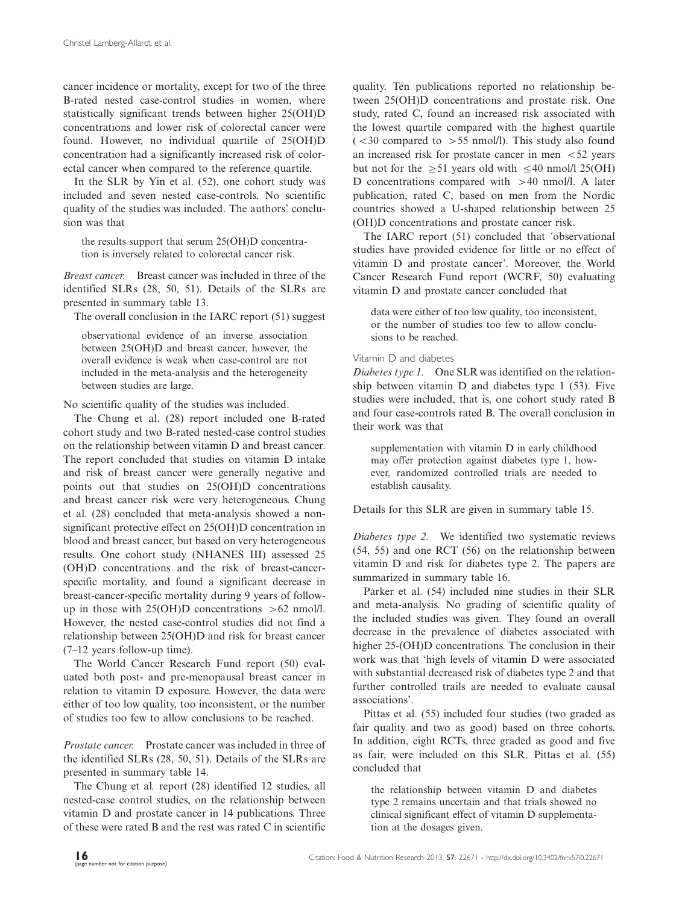cancer incidence or mortality, except for two of the three B-rated nested case-control studies in women, where statistically significant trends between higher 25(OH)D concentrations and lower risk of colorectal cancer were found. However, no individual quartile of 25(OH)D concentration had a significantly increased risk of colorectal cancer when compared to the reference quartile.

In the SLR by Yin et al. (52), one cohort study was included and seven nested case-controls. No scientific quality of the studies was included. The authors' conclusion was that

the results support that serum 25(OH)D concentration is inversely related to colorectal cancer risk.

Breast cancer. Breast cancer was included in three of the identified SLRs (28, 50, 51). Details of the SLRs are presented in [summary table 13.](http://www.foodandnutritionresearch.net/index.php/fnr/rt/suppFiles/22671/0)

The overall conclusion in the IARC report (51) suggest

observational evidence of an inverse association between 25(OH)D and breast cancer, however, the overall evidence is weak when case-control are not included in the meta-analysis and the heterogeneity between studies are large.

No scientific quality of the studies was included.

The Chung et al. (28) report included one B-rated cohort study and two B-rated nested-case control studies on the relationship between vitamin D and breast cancer. The report concluded that studies on vitamin D intake and risk of breast cancer were generally negative and points out that studies on 25(OH)D concentrations and breast cancer risk were very heterogeneous. Chung et al. (28) concluded that meta-analysis showed a nonsignificant protective effect on 25(OH)D concentration in blood and breast cancer, but based on very heterogeneous results. One cohort study (NHANES III) assessed 25 (OH)D concentrations and the risk of breast-cancerspecific mortality, and found a significant decrease in breast-cancer-specific mortality during 9 years of followup in those with  $25(OH)D$  concentrations  $>62$  nmol/l. However, the nested case-control studies did not find a relationship between 25(OH)D and risk for breast cancer (7-12 years follow-up time).

The World Cancer Research Fund report (50) evaluated both post- and pre-menopausal breast cancer in relation to vitamin D exposure. However, the data were either of too low quality, too inconsistent, or the number of studies too few to allow conclusions to be reached.

Prostate cancer. Prostate cancer was included in three of the identified SLRs (28, 50, 51). Details of the SLRs are presented in [summary table 14.](http://www.foodandnutritionresearch.net/index.php/fnr/rt/suppFiles/22671/0)

The Chung et al. report (28) identified 12 studies, all nested-case control studies, on the relationship between vitamin D and prostate cancer in 14 publications. Three of these were rated B and the rest was rated C in scientific quality. Ten publications reported no relationship between 25(OH)D concentrations and prostate risk. One study, rated C, found an increased risk associated with the lowest quartile compared with the highest quartile  $\zeta$  < 30 compared to > 55 nmol/l). This study also found an increased risk for prostate cancer in men  $\lt$  52 years but not for the  $\geq 51$  years old with  $\leq 40$  nmol/l 25(OH) D concentrations compared with  $>40$  nmol/l. A later publication, rated C, based on men from the Nordic countries showed a U-shaped relationship between 25 (OH)D concentrations and prostate cancer risk.

The IARC report (51) concluded that 'observational studies have provided evidence for little or no effect of vitamin D and prostate cancer'. Moreover, the World Cancer Research Fund report (WCRF, 50) evaluating vitamin D and prostate cancer concluded that

data were either of too low quality, too inconsistent, or the number of studies too few to allow conclusions to be reached.

# Vitamin D and diabetes

Diabetes type 1. One SLR was identified on the relationship between vitamin D and diabetes type 1 (53). Five studies were included, that is, one cohort study rated B and four case-controls rated B. The overall conclusion in their work was that

supplementation with vitamin D in early childhood may offer protection against diabetes type 1, however, randomized controlled trials are needed to establish causality.

Details for this SLR are given in summary table 15.

Diabetes type 2. We identified two systematic reviews (54, 55) and one RCT (56) on the relationship between vitamin D and risk for diabetes type 2. The papers are summarized in [summary table 16](http://www.foodandnutritionresearch.net/index.php/fnr/rt/suppFiles/22671/0).

Parker et al. (54) included nine studies in their SLR and meta-analysis. No grading of scientific quality of the included studies was given. They found an overall decrease in the prevalence of diabetes associated with higher 25-(OH)D concentrations. The conclusion in their work was that 'high levels of vitamin D were associated with substantial decreased risk of diabetes type 2 and that further controlled trails are needed to evaluate causal associations'.

Pittas et al. (55) included four studies (two graded as fair quality and two as good) based on three cohorts. In addition, eight RCTs, three graded as good and five as fair, were included on this SLR. Pittas et al. (55) concluded that

the relationship between vitamin D and diabetes type 2 remains uncertain and that trials showed no clinical significant effect of vitamin D supplementation at the dosages given.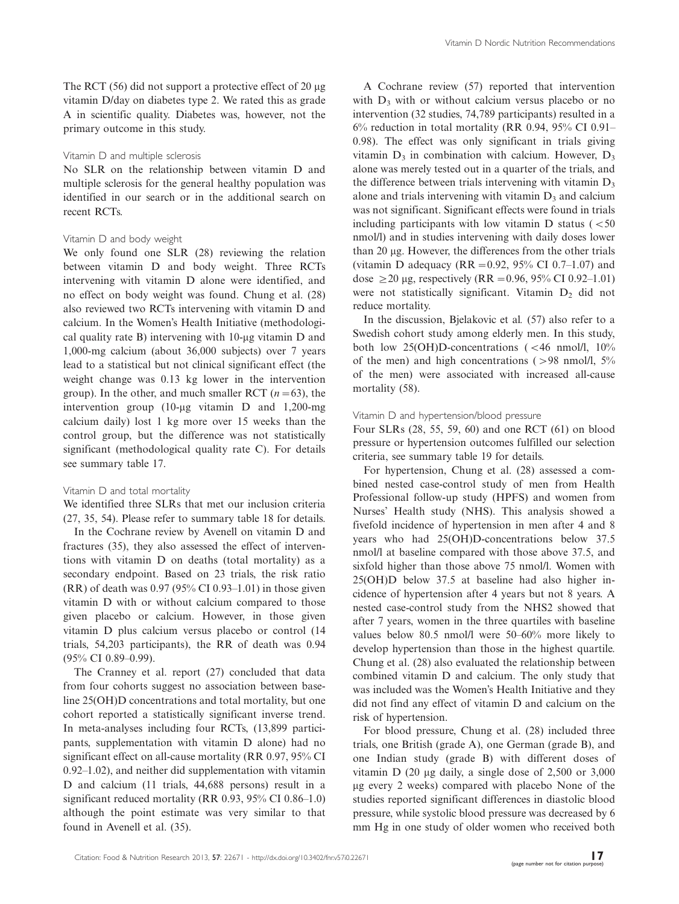The RCT  $(56)$  did not support a protective effect of 20  $\mu$ g vitamin D/day on diabetes type 2. We rated this as grade A in scientific quality. Diabetes was, however, not the primary outcome in this study.

### Vitamin D and multiple sclerosis

No SLR on the relationship between vitamin D and multiple sclerosis for the general healthy population was identified in our search or in the additional search on recent RCTs.

### Vitamin D and body weight

We only found one SLR (28) reviewing the relation between vitamin D and body weight. Three RCTs intervening with vitamin D alone were identified, and no effect on body weight was found. Chung et al. (28) also reviewed two RCTs intervening with vitamin D and calcium. In the Women's Health Initiative (methodological quality rate B) intervening with  $10$ -µg vitamin D and 1,000-mg calcium (about 36,000 subjects) over 7 years lead to a statistical but not clinical significant effect (the weight change was 0.13 kg lower in the intervention group). In the other, and much smaller RCT  $(n=63)$ , the intervention group (10-µg vitamin  $D$  and 1,200-mg calcium daily) lost 1 kg more over 15 weeks than the control group, but the difference was not statistically significant (methodological quality rate C). For details see [summary table 17](http://www.foodandnutritionresearch.net/index.php/fnr/rt/suppFiles/22671/0).

### Vitamin D and total mortality

We identified three SLRs that met our inclusion criteria (27, 35, 54). Please refer to [summary table 18](http://www.foodandnutritionresearch.net/index.php/fnr/rt/suppFiles/22671/0) for details.

In the Cochrane review by Avenell on vitamin D and fractures (35), they also assessed the effect of interventions with vitamin D on deaths (total mortality) as a secondary endpoint. Based on 23 trials, the risk ratio (RR) of death was 0.97 (95% CI 0.93-1.01) in those given vitamin D with or without calcium compared to those given placebo or calcium. However, in those given vitamin D plus calcium versus placebo or control (14 trials, 54,203 participants), the RR of death was 0.94 (95% CI 0.89-0.99).

The Cranney et al. report (27) concluded that data from four cohorts suggest no association between baseline 25(OH)D concentrations and total mortality, but one cohort reported a statistically significant inverse trend. In meta-analyses including four RCTs, (13,899 participants, supplementation with vitamin D alone) had no significant effect on all-cause mortality (RR 0.97, 95% CI 0.92-1.02), and neither did supplementation with vitamin D and calcium (11 trials, 44,688 persons) result in a significant reduced mortality (RR 0.93, 95% CI 0.86-1.0) although the point estimate was very similar to that found in Avenell et al. (35).

A Cochrane review (57) reported that intervention with  $D_3$  with or without calcium versus placebo or no intervention (32 studies, 74,789 participants) resulted in a  $6\%$  reduction in total mortality (RR 0.94, 95% CI 0.91– 0.98). The effect was only significant in trials giving vitamin  $D_3$  in combination with calcium. However,  $D_3$ alone was merely tested out in a quarter of the trials, and the difference between trials intervening with vitamin  $D_3$ alone and trials intervening with vitamin  $D_3$  and calcium was not significant. Significant effects were found in trials including participants with low vitamin  $D$  status ( $<$ 50 nmol/l) and in studies intervening with daily doses lower than 20 µg. However, the differences from the other trials (vitamin D adequacy ( $RR = 0.92$ , 95% CI 0.7-1.07) and dose  $\geq$  20 µg, respectively (RR = 0.96, 95% CI 0.92-1.01) were not statistically significant. Vitamin  $D_2$  did not reduce mortality.

In the discussion, Bjelakovic et al. (57) also refer to a Swedish cohort study among elderly men. In this study, both low  $25(OH)D$ -concentrations (<46 nmol/l, 10% of the men) and high concentrations ( $>98$  nmol/l,  $5\%$ of the men) were associated with increased all-cause mortality (58).

# Vitamin D and hypertension/blood pressure

Four SLRs (28, 55, 59, 60) and one RCT (61) on blood pressure or hypertension outcomes fulfilled our selection criteria, see [summary table 19](http://www.foodandnutritionresearch.net/index.php/fnr/rt/suppFiles/22671/0) for details.

For hypertension, Chung et al. (28) assessed a combined nested case-control study of men from Health Professional follow-up study (HPFS) and women from Nurses' Health study (NHS). This analysis showed a fivefold incidence of hypertension in men after 4 and 8 years who had 25(OH)D-concentrations below 37.5 nmol/l at baseline compared with those above 37.5, and sixfold higher than those above 75 nmol/l. Women with 25(OH)D below 37.5 at baseline had also higher incidence of hypertension after 4 years but not 8 years. A nested case-control study from the NHS2 showed that after 7 years, women in the three quartiles with baseline values below 80.5 nmol/l were 50-60% more likely to develop hypertension than those in the highest quartile. Chung et al. (28) also evaluated the relationship between combined vitamin D and calcium. The only study that was included was the Women's Health Initiative and they did not find any effect of vitamin D and calcium on the risk of hypertension.

For blood pressure, Chung et al. (28) included three trials, one British (grade A), one German (grade B), and one Indian study (grade B) with different doses of vitamin D  $(20 \mu g$  daily, a single dose of 2,500 or 3,000 mg every 2 weeks) compared with placebo None of the studies reported significant differences in diastolic blood pressure, while systolic blood pressure was decreased by 6 mm Hg in one study of older women who received both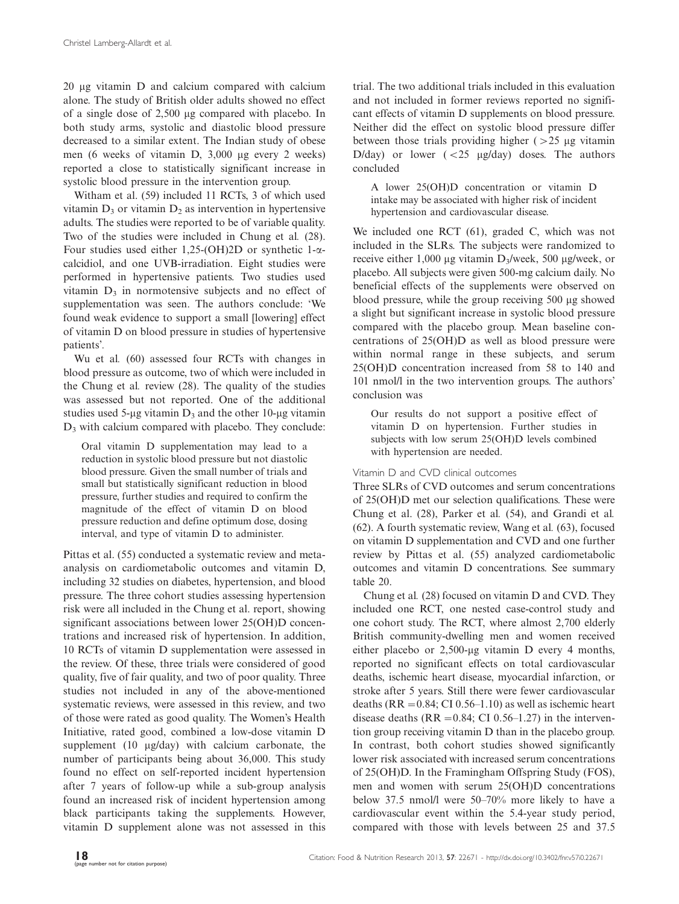20 mg vitamin D and calcium compared with calcium alone. The study of British older adults showed no effect of a single dose of 2,500 mg compared with placebo. In both study arms, systolic and diastolic blood pressure decreased to a similar extent. The Indian study of obese men (6 weeks of vitamin D, 3,000 µg every 2 weeks) reported a close to statistically significant increase in systolic blood pressure in the intervention group.

Witham et al. (59) included 11 RCTs, 3 of which used vitamin  $D_3$  or vitamin  $D_2$  as intervention in hypertensive adults. The studies were reported to be of variable quality. Two of the studies were included in Chung et al. (28). Four studies used either 1,25-(OH)2D or synthetic 1- $\alpha$ calcidiol, and one UVB-irradiation. Eight studies were performed in hypertensive patients. Two studies used vitamin  $D_3$  in normotensive subjects and no effect of supplementation was seen. The authors conclude: 'We found weak evidence to support a small [lowering] effect of vitamin D on blood pressure in studies of hypertensive patients'.

Wu et al. (60) assessed four RCTs with changes in blood pressure as outcome, two of which were included in the Chung et al. review (28). The quality of the studies was assessed but not reported. One of the additional studies used 5-µg vitamin  $D_3$  and the other 10-µg vitamin  $D_3$  with calcium compared with placebo. They conclude:

Oral vitamin D supplementation may lead to a reduction in systolic blood pressure but not diastolic blood pressure. Given the small number of trials and small but statistically significant reduction in blood pressure, further studies and required to confirm the magnitude of the effect of vitamin D on blood pressure reduction and define optimum dose, dosing interval, and type of vitamin D to administer.

Pittas et al. (55) conducted a systematic review and metaanalysis on cardiometabolic outcomes and vitamin D, including 32 studies on diabetes, hypertension, and blood pressure. The three cohort studies assessing hypertension risk were all included in the Chung et al. report, showing significant associations between lower 25(OH)D concentrations and increased risk of hypertension. In addition, 10 RCTs of vitamin D supplementation were assessed in the review. Of these, three trials were considered of good quality, five of fair quality, and two of poor quality. Three studies not included in any of the above-mentioned systematic reviews, were assessed in this review, and two of those were rated as good quality. The Women's Health Initiative, rated good, combined a low-dose vitamin D supplement  $(10 \mu g/day)$  with calcium carbonate, the number of participants being about 36,000. This study found no effect on self-reported incident hypertension after 7 years of follow-up while a sub-group analysis found an increased risk of incident hypertension among black participants taking the supplements. However, vitamin D supplement alone was not assessed in this trial. The two additional trials included in this evaluation and not included in former reviews reported no significant effects of vitamin D supplements on blood pressure. Neither did the effect on systolic blood pressure differ between those trials providing higher  $($  > 25  $\mu$ g vitamin D/day) or lower  $( $25 \mu g/day$ )$  doses. The authors concluded

A lower 25(OH)D concentration or vitamin D intake may be associated with higher risk of incident hypertension and cardiovascular disease.

We included one RCT (61), graded C, which was not included in the SLRs. The subjects were randomized to receive either 1,000 µg vitamin  $D_3$ /week, 500 µg/week, or placebo. All subjects were given 500-mg calcium daily. No beneficial effects of the supplements were observed on blood pressure, while the group receiving 500 µg showed a slight but significant increase in systolic blood pressure compared with the placebo group. Mean baseline concentrations of 25(OH)D as well as blood pressure were within normal range in these subjects, and serum 25(OH)D concentration increased from 58 to 140 and 101 nmol/l in the two intervention groups. The authors' conclusion was

Our results do not support a positive effect of vitamin D on hypertension. Further studies in subjects with low serum 25(OH)D levels combined with hypertension are needed.

### Vitamin D and CVD clinical outcomes

Three SLRs of CVD outcomes and serum concentrations of 25(OH)D met our selection qualifications. These were Chung et al. (28), Parker et al. (54), and Grandi et al. (62). A fourth systematic review, Wang et al. (63), focused on vitamin D supplementation and CVD and one further review by Pittas et al. (55) analyzed cardiometabolic outcomes and vitamin D concentrations. See [summary](http://www.foodandnutritionresearch.net/index.php/fnr/rt/suppFiles/22671/0) [table 20.](http://www.foodandnutritionresearch.net/index.php/fnr/rt/suppFiles/22671/0)

Chung et al. (28) focused on vitamin D and CVD. They included one RCT, one nested case-control study and one cohort study. The RCT, where almost 2,700 elderly British community-dwelling men and women received either placebo or  $2,500$ -µg vitamin D every 4 months, reported no significant effects on total cardiovascular deaths, ischemic heart disease, myocardial infarction, or stroke after 5 years. Still there were fewer cardiovascular deaths ( $RR = 0.84$ ; CI 0.56-1.10) as well as ischemic heart disease deaths ( $RR = 0.84$ ; CI 0.56-1.27) in the intervention group receiving vitamin D than in the placebo group. In contrast, both cohort studies showed significantly lower risk associated with increased serum concentrations of 25(OH)D. In the Framingham Offspring Study (FOS), men and women with serum 25(OH)D concentrations below 37.5 nmol/l were 50-70% more likely to have a cardiovascular event within the 5.4-year study period, compared with those with levels between 25 and 37.5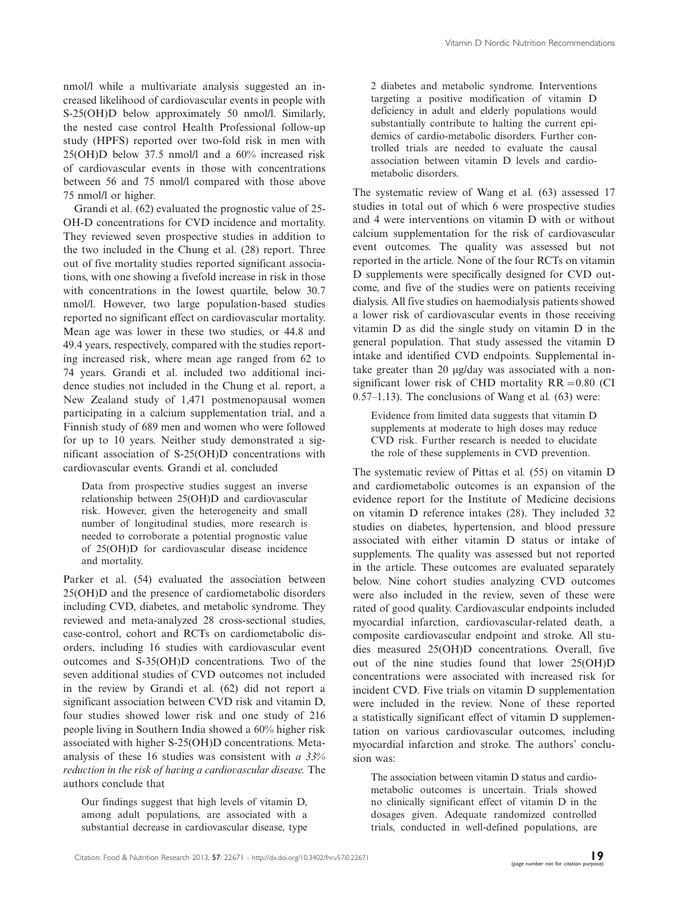nmol/l while a multivariate analysis suggested an increased likelihood of cardiovascular events in people with S-25(OH)D below approximately 50 nmol/l. Similarly, the nested case control Health Professional follow-up study (HPFS) reported over two-fold risk in men with 25(OH)D below 37.5 nmol/l and a 60% increased risk of cardiovascular events in those with concentrations between 56 and 75 nmol/l compared with those above 75 nmol/l or higher.

Grandi et al. (62) evaluated the prognostic value of 25- OH-D concentrations for CVD incidence and mortality. They reviewed seven prospective studies in addition to the two included in the Chung et al. (28) report. Three out of five mortality studies reported significant associations, with one showing a fivefold increase in risk in those with concentrations in the lowest quartile, below 30.7 nmol/l. However, two large population-based studies reported no significant effect on cardiovascular mortality. Mean age was lower in these two studies, or 44.8 and 49.4 years, respectively, compared with the studies reporting increased risk, where mean age ranged from 62 to 74 years. Grandi et al. included two additional incidence studies not included in the Chung et al. report, a New Zealand study of 1,471 postmenopausal women participating in a calcium supplementation trial, and a Finnish study of 689 men and women who were followed for up to 10 years. Neither study demonstrated a significant association of S-25(OH)D concentrations with cardiovascular events. Grandi et al. concluded

Data from prospective studies suggest an inverse relationship between 25(OH)D and cardiovascular risk. However, given the heterogeneity and small number of longitudinal studies, more research is needed to corroborate a potential prognostic value of 25(OH)D for cardiovascular disease incidence and mortality.

Parker et al. (54) evaluated the association between 25(OH)D and the presence of cardiometabolic disorders including CVD, diabetes, and metabolic syndrome. They reviewed and meta-analyzed 28 cross-sectional studies, case-control, cohort and RCTs on cardiometabolic disorders, including 16 studies with cardiovascular event outcomes and S-35(OH)D concentrations. Two of the seven additional studies of CVD outcomes not included in the review by Grandi et al. (62) did not report a significant association between CVD risk and vitamin D, four studies showed lower risk and one study of 216 people living in Southern India showed a 60% higher risk associated with higher S-25(OH)D concentrations. Metaanalysis of these 16 studies was consistent with  $a$  33% reduction in the risk of having a cardiovascular disease. The authors conclude that

Our findings suggest that high levels of vitamin D, among adult populations, are associated with a substantial decrease in cardiovascular disease, type

2 diabetes and metabolic syndrome. Interventions targeting a positive modification of vitamin D deficiency in adult and elderly populations would substantially contribute to halting the current epidemics of cardio-metabolic disorders. Further controlled trials are needed to evaluate the causal association between vitamin D levels and cardiometabolic disorders.

The systematic review of Wang et al. (63) assessed 17 studies in total out of which 6 were prospective studies and 4 were interventions on vitamin D with or without calcium supplementation for the risk of cardiovascular event outcomes. The quality was assessed but not reported in the article. None of the four RCTs on vitamin D supplements were specifically designed for CVD outcome, and five of the studies were on patients receiving dialysis. All five studies on haemodialysis patients showed a lower risk of cardiovascular events in those receiving vitamin D as did the single study on vitamin D in the general population. That study assessed the vitamin D intake and identified CVD endpoints. Supplemental intake greater than 20 µg/day was associated with a nonsignificant lower risk of CHD mortality  $RR = 0.80$  (CI 0.57-1.13). The conclusions of Wang et al. (63) were:

Evidence from limited data suggests that vitamin D supplements at moderate to high doses may reduce CVD risk. Further research is needed to elucidate the role of these supplements in CVD prevention.

The systematic review of Pittas et al. (55) on vitamin D and cardiometabolic outcomes is an expansion of the evidence report for the Institute of Medicine decisions on vitamin D reference intakes (28). They included 32 studies on diabetes, hypertension, and blood pressure associated with either vitamin D status or intake of supplements. The quality was assessed but not reported in the article. These outcomes are evaluated separately below. Nine cohort studies analyzing CVD outcomes were also included in the review, seven of these were rated of good quality. Cardiovascular endpoints included myocardial infarction, cardiovascular-related death, a composite cardiovascular endpoint and stroke. All studies measured 25(OH)D concentrations. Overall, five out of the nine studies found that lower 25(OH)D concentrations were associated with increased risk for incident CVD. Five trials on vitamin D supplementation were included in the review. None of these reported a statistically significant effect of vitamin D supplementation on various cardiovascular outcomes, including myocardial infarction and stroke. The authors' conclusion was:

The association between vitamin D status and cardiometabolic outcomes is uncertain. Trials showed no clinically significant effect of vitamin D in the dosages given. Adequate randomized controlled trials, conducted in well-defined populations, are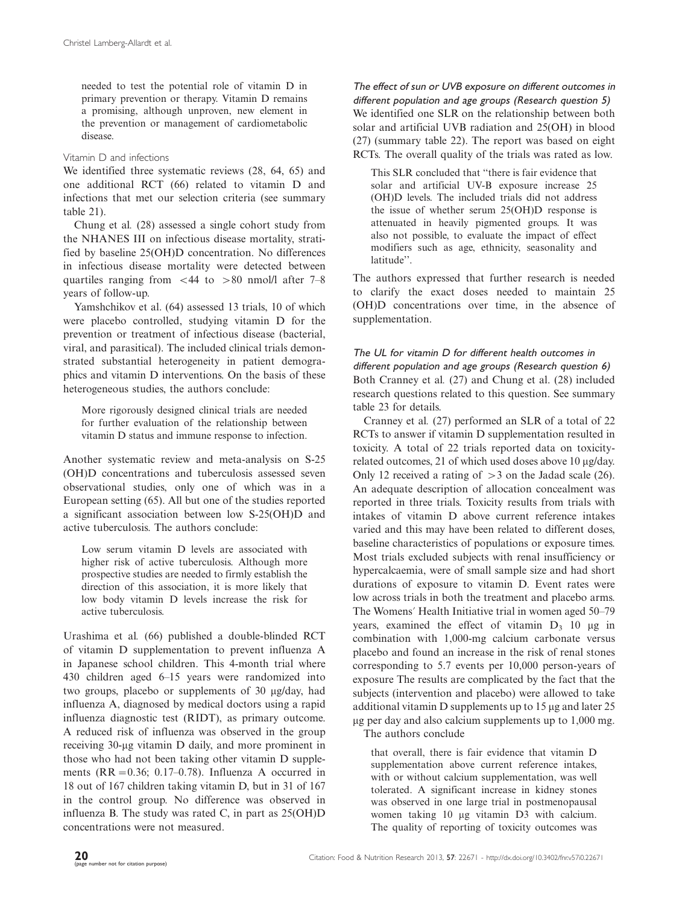needed to test the potential role of vitamin D in primary prevention or therapy. Vitamin D remains a promising, although unproven, new element in the prevention or management of cardiometabolic disease.

### Vitamin D and infections

We identified three systematic reviews (28, 64, 65) and one additional RCT (66) related to vitamin D and infections that met our selection criteria ([see summary](http://www.foodandnutritionresearch.net/index.php/fnr/rt/suppFiles/22671/0) [table 21](http://www.foodandnutritionresearch.net/index.php/fnr/rt/suppFiles/22671/0)).

Chung et al. (28) assessed a single cohort study from the NHANES III on infectious disease mortality, stratified by baseline 25(OH)D concentration. No differences in infectious disease mortality were detected between quartiles ranging from  $\lt$  44 to  $> 80$  nmol/l after 7–8 years of follow-up.

Yamshchikov et al. (64) assessed 13 trials, 10 of which were placebo controlled, studying vitamin D for the prevention or treatment of infectious disease (bacterial, viral, and parasitical). The included clinical trials demonstrated substantial heterogeneity in patient demographics and vitamin D interventions. On the basis of these heterogeneous studies, the authors conclude:

More rigorously designed clinical trials are needed for further evaluation of the relationship between vitamin D status and immune response to infection.

Another systematic review and meta-analysis on S-25 (OH)D concentrations and tuberculosis assessed seven observational studies, only one of which was in a European setting (65). All but one of the studies reported a significant association between low S-25(OH)D and active tuberculosis. The authors conclude:

Low serum vitamin D levels are associated with higher risk of active tuberculosis. Although more prospective studies are needed to firmly establish the direction of this association, it is more likely that low body vitamin D levels increase the risk for active tuberculosis.

Urashima et al. (66) published a double-blinded RCT of vitamin D supplementation to prevent influenza A in Japanese school children. This 4-month trial where 430 children aged 6-15 years were randomized into two groups, placebo or supplements of 30 µg/day, had influenza A, diagnosed by medical doctors using a rapid influenza diagnostic test (RIDT), as primary outcome. A reduced risk of influenza was observed in the group receiving 30-μg vitamin D daily, and more prominent in those who had not been taking other vitamin D supplements  $(RR = 0.36; 0.17 - 0.78)$ . Influenza A occurred in 18 out of 167 children taking vitamin D, but in 31 of 167 in the control group. No difference was observed in influenza B. The study was rated C, in part as 25(OH)D concentrations were not measured.

The effect of sun or UVB exposure on different outcomes in different population and age groups (Research question 5) We identified one SLR on the relationship between both solar and artificial UVB radiation and 25(OH) in blood (27) ([summary table 22\)](http://www.foodandnutritionresearch.net/index.php/fnr/rt/suppFiles/22671/0). The report was based on eight RCTs. The overall quality of the trials was rated as low.

This SLR concluded that ''there is fair evidence that solar and artificial UV-B exposure increase 25 (OH)D levels. The included trials did not address the issue of whether serum 25(OH)D response is attenuated in heavily pigmented groups. It was also not possible, to evaluate the impact of effect modifiers such as age, ethnicity, seasonality and latitude''.

The authors expressed that further research is needed to clarify the exact doses needed to maintain 25 (OH)D concentrations over time, in the absence of supplementation.

# The UL for vitamin D for different health outcomes in different population and age groups (Research question 6) Both Cranney et al. (27) and Chung et al. (28) included research questions related to this question. See [summary](http://www.foodandnutritionresearch.net/index.php/fnr/rt/suppFiles/22671/0) [table 23](http://www.foodandnutritionresearch.net/index.php/fnr/rt/suppFiles/22671/0) for details.

Cranney et al. (27) performed an SLR of a total of 22 RCTs to answer if vitamin D supplementation resulted in toxicity. A total of 22 trials reported data on toxicityrelated outcomes, 21 of which used doses above 10 µg/day. Only 12 received a rating of  $>$  3 on the Jadad scale (26). An adequate description of allocation concealment was reported in three trials. Toxicity results from trials with intakes of vitamin D above current reference intakes varied and this may have been related to different doses, baseline characteristics of populations or exposure times. Most trials excluded subjects with renal insufficiency or hypercalcaemia, were of small sample size and had short durations of exposure to vitamin D. Event rates were low across trials in both the treatment and placebo arms. The Womens? Health Initiative trial in women aged 50-79 years, examined the effect of vitamin  $D_3$  10  $\mu$ g in combination with 1,000-mg calcium carbonate versus placebo and found an increase in the risk of renal stones corresponding to 5.7 events per 10,000 person-years of exposure The results are complicated by the fact that the subjects (intervention and placebo) were allowed to take additional vitamin D supplements up to  $15 \mu$ g and later  $25 \mu$  $\mu$ g per day and also calcium supplements up to 1,000 mg. The authors conclude

that overall, there is fair evidence that vitamin D supplementation above current reference intakes, with or without calcium supplementation, was well tolerated. A significant increase in kidney stones was observed in one large trial in postmenopausal women taking 10 µg vitamin D3 with calcium. The quality of reporting of toxicity outcomes was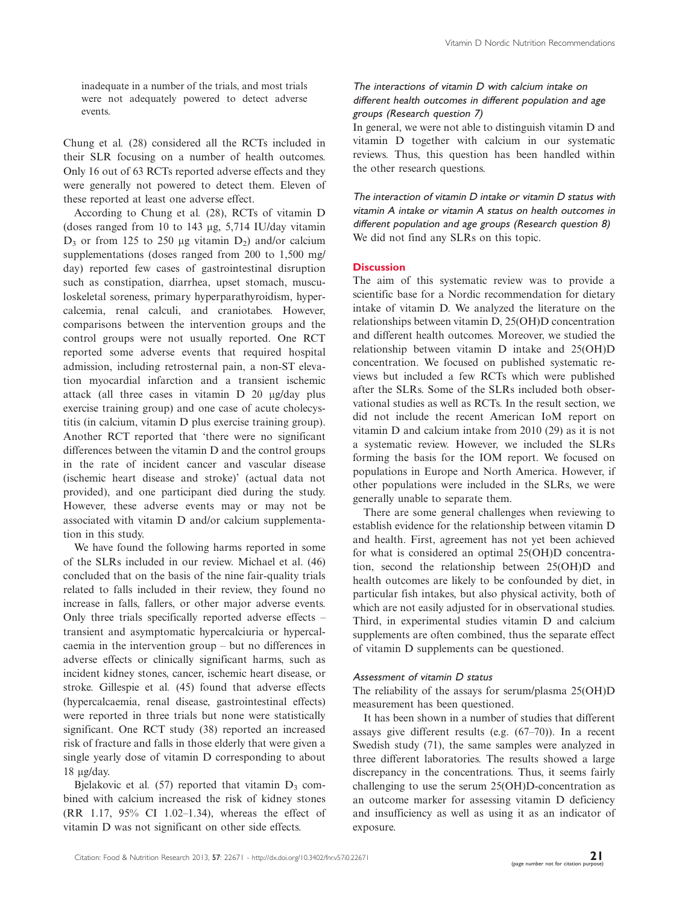inadequate in a number of the trials, and most trials were not adequately powered to detect adverse events.

Chung et al. (28) considered all the RCTs included in their SLR focusing on a number of health outcomes. Only 16 out of 63 RCTs reported adverse effects and they were generally not powered to detect them. Eleven of these reported at least one adverse effect.

According to Chung et al. (28), RCTs of vitamin D (doses ranged from 10 to 143  $\mu$ g, 5,714 IU/day vitamin  $D_3$  or from 125 to 250 µg vitamin  $D_2$ ) and/or calcium supplementations (doses ranged from 200 to 1,500 mg/ day) reported few cases of gastrointestinal disruption such as constipation, diarrhea, upset stomach, musculoskeletal soreness, primary hyperparathyroidism, hypercalcemia, renal calculi, and craniotabes. However, comparisons between the intervention groups and the control groups were not usually reported. One RCT reported some adverse events that required hospital admission, including retrosternal pain, a non-ST elevation myocardial infarction and a transient ischemic attack (all three cases in vitamin D 20 mg/day plus exercise training group) and one case of acute cholecystitis (in calcium, vitamin D plus exercise training group). Another RCT reported that 'there were no significant differences between the vitamin D and the control groups in the rate of incident cancer and vascular disease (ischemic heart disease and stroke)' (actual data not provided), and one participant died during the study. However, these adverse events may or may not be associated with vitamin D and/or calcium supplementation in this study.

We have found the following harms reported in some of the SLRs included in our review. Michael et al. (46) concluded that on the basis of the nine fair-quality trials related to falls included in their review, they found no increase in falls, fallers, or other major adverse events. Only three trials specifically reported adverse effects transient and asymptomatic hypercalciuria or hypercalcaemia in the intervention group - but no differences in adverse effects or clinically significant harms, such as incident kidney stones, cancer, ischemic heart disease, or stroke. Gillespie et al. (45) found that adverse effects (hypercalcaemia, renal disease, gastrointestinal effects) were reported in three trials but none were statistically significant. One RCT study (38) reported an increased risk of fracture and falls in those elderly that were given a single yearly dose of vitamin D corresponding to about 18 mg/day.

Bjelakovic et al.  $(57)$  reported that vitamin  $D_3$  combined with calcium increased the risk of kidney stones (RR 1.17, 95% CI 1.02-1.34), whereas the effect of vitamin D was not significant on other side effects.

# The interactions of vitamin D with calcium intake on different health outcomes in different population and age groups (Research question 7)

In general, we were not able to distinguish vitamin D and vitamin D together with calcium in our systematic reviews. Thus, this question has been handled within the other research questions.

The interaction of vitamin D intake or vitamin D status with vitamin A intake or vitamin A status on health outcomes in different population and age groups (Research question 8) We did not find any SLRs on this topic.

# **Discussion**

The aim of this systematic review was to provide a scientific base for a Nordic recommendation for dietary intake of vitamin D. We analyzed the literature on the relationships between vitamin D, 25(OH)D concentration and different health outcomes. Moreover, we studied the relationship between vitamin D intake and 25(OH)D concentration. We focused on published systematic reviews but included a few RCTs which were published after the SLRs. Some of the SLRs included both observational studies as well as RCTs. In the result section, we did not include the recent American IoM report on vitamin D and calcium intake from 2010 (29) as it is not a systematic review. However, we included the SLRs forming the basis for the IOM report. We focused on populations in Europe and North America. However, if other populations were included in the SLRs, we were generally unable to separate them.

There are some general challenges when reviewing to establish evidence for the relationship between vitamin D and health. First, agreement has not yet been achieved for what is considered an optimal 25(OH)D concentration, second the relationship between 25(OH)D and health outcomes are likely to be confounded by diet, in particular fish intakes, but also physical activity, both of which are not easily adjusted for in observational studies. Third, in experimental studies vitamin D and calcium supplements are often combined, thus the separate effect of vitamin D supplements can be questioned.

# Assessment of vitamin D status

The reliability of the assays for serum/plasma 25(OH)D measurement has been questioned.

It has been shown in a number of studies that different assays give different results (e.g. (67-70)). In a recent Swedish study (71), the same samples were analyzed in three different laboratories. The results showed a large discrepancy in the concentrations. Thus, it seems fairly challenging to use the serum 25(OH)D-concentration as an outcome marker for assessing vitamin D deficiency and insufficiency as well as using it as an indicator of exposure.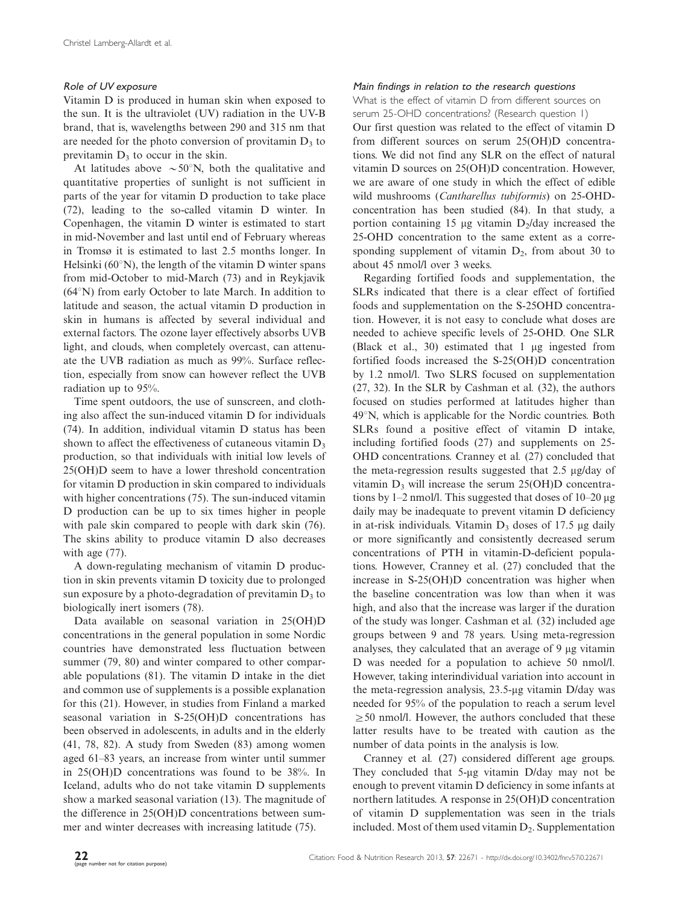# Role of UV exposure

Vitamin D is produced in human skin when exposed to the sun. It is the ultraviolet (UV) radiation in the UV-B brand, that is, wavelengths between 290 and 315 nm that are needed for the photo conversion of provitamin  $D_3$  to previtamin  $D_3$  to occur in the skin.

At latitudes above  $\sim 50^{\circ}$ N, both the qualitative and quantitative properties of sunlight is not sufficient in parts of the year for vitamin D production to take place (72), leading to the so-called vitamin D winter. In Copenhagen, the vitamin D winter is estimated to start in mid-November and last until end of February whereas in Tromsø it is estimated to last 2.5 months longer. In Helsinki ( $60^{\circ}$ N), the length of the vitamin D winter spans from mid-October to mid-March (73) and in Reykjavik  $(64°N)$  from early October to late March. In addition to latitude and season, the actual vitamin D production in skin in humans is affected by several individual and external factors. The ozone layer effectively absorbs UVB light, and clouds, when completely overcast, can attenuate the UVB radiation as much as 99%. Surface reflection, especially from snow can however reflect the UVB radiation up to 95%.

Time spent outdoors, the use of sunscreen, and clothing also affect the sun-induced vitamin D for individuals (74). In addition, individual vitamin D status has been shown to affect the effectiveness of cutaneous vitamin  $D_3$ production, so that individuals with initial low levels of 25(OH)D seem to have a lower threshold concentration for vitamin D production in skin compared to individuals with higher concentrations (75). The sun-induced vitamin D production can be up to six times higher in people with pale skin compared to people with dark skin (76). The skins ability to produce vitamin D also decreases with age (77).

A down-regulating mechanism of vitamin D production in skin prevents vitamin D toxicity due to prolonged sun exposure by a photo-degradation of previtamin  $D_3$  to biologically inert isomers (78).

Data available on seasonal variation in 25(OH)D concentrations in the general population in some Nordic countries have demonstrated less fluctuation between summer (79, 80) and winter compared to other comparable populations (81). The vitamin D intake in the diet and common use of supplements is a possible explanation for this (21). However, in studies from Finland a marked seasonal variation in S-25(OH)D concentrations has been observed in adolescents, in adults and in the elderly (41, 78, 82). A study from Sweden (83) among women aged 61-83 years, an increase from winter until summer in 25(OH)D concentrations was found to be 38%. In Iceland, adults who do not take vitamin D supplements show a marked seasonal variation (13). The magnitude of the difference in 25(OH)D concentrations between summer and winter decreases with increasing latitude (75).

# Main findings in relation to the research questions

What is the effect of vitamin D from different sources on serum 25-OHD concentrations? (Research question 1) Our first question was related to the effect of vitamin D from different sources on serum 25(OH)D concentrations. We did not find any SLR on the effect of natural vitamin D sources on 25(OH)D concentration. However, we are aware of one study in which the effect of edible wild mushrooms (Cantharellus tubiformis) on 25-OHDconcentration has been studied (84). In that study, a portion containing 15  $\mu$ g vitamin D<sub>2</sub>/day increased the 25-OHD concentration to the same extent as a corresponding supplement of vitamin  $D_2$ , from about 30 to about 45 nmol/l over 3 weeks.

Regarding fortified foods and supplementation, the SLRs indicated that there is a clear effect of fortified foods and supplementation on the S-25OHD concentration. However, it is not easy to conclude what doses are needed to achieve specific levels of 25-OHD. One SLR (Black et al., 30) estimated that  $1 \mu$ g ingested from fortified foods increased the S-25(OH)D concentration by 1.2 nmol/l. Two SLRS focused on supplementation (27, 32). In the SLR by Cashman et al. (32), the authors focused on studies performed at latitudes higher than  $49^\circ$ N, which is applicable for the Nordic countries. Both SLRs found a positive effect of vitamin D intake, including fortified foods (27) and supplements on 25- OHD concentrations. Cranney et al. (27) concluded that the meta-regression results suggested that  $2.5 \mu g/day$  of vitamin  $D_3$  will increase the serum 25(OH)D concentrations by 1–2 nmol/l. This suggested that doses of 10–20 μg daily may be inadequate to prevent vitamin D deficiency in at-risk individuals. Vitamin  $D_3$  doses of 17.5 µg daily or more significantly and consistently decreased serum concentrations of PTH in vitamin-D-deficient populations. However, Cranney et al. (27) concluded that the increase in S-25(OH)D concentration was higher when the baseline concentration was low than when it was high, and also that the increase was larger if the duration of the study was longer. Cashman et al. (32) included age groups between 9 and 78 years. Using meta-regression analyses, they calculated that an average of 9 µg vitamin D was needed for a population to achieve 50 nmol/l. However, taking interindividual variation into account in the meta-regression analysis,  $23.5$ - $\mu$ g vitamin D/day was needed for 95% of the population to reach a serum level  $\geq$  50 nmol/l. However, the authors concluded that these latter results have to be treated with caution as the number of data points in the analysis is low.

Cranney et al. (27) considered different age groups. They concluded that  $5-\mu g$  vitamin D/day may not be enough to prevent vitamin D deficiency in some infants at northern latitudes. A response in 25(OH)D concentration of vitamin D supplementation was seen in the trials included. Most of them used vitamin  $D_2$ . Supplementation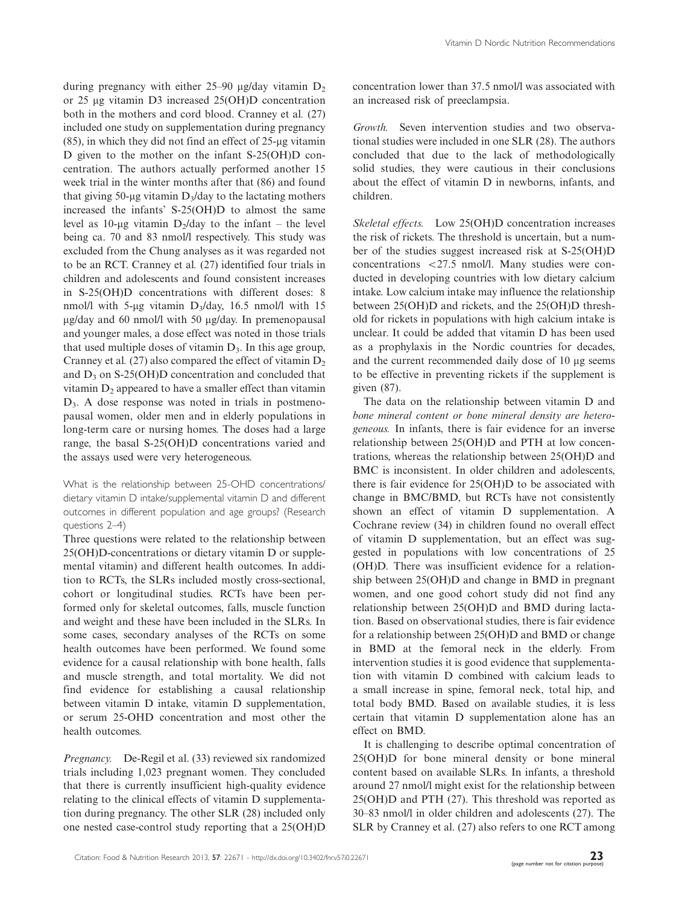during pregnancy with either 25–90  $\mu$ g/day vitamin  $D_2$ or 25 mg vitamin D3 increased 25(OH)D concentration both in the mothers and cord blood. Cranney et al. (27) included one study on supplementation during pregnancy  $(85)$ , in which they did not find an effect of 25-µg vitamin D given to the mother on the infant S-25(OH)D concentration. The authors actually performed another 15 week trial in the winter months after that (86) and found that giving 50-µg vitamin  $D_3$ /day to the lactating mothers increased the infants' S-25(OH)D to almost the same level as 10-µg vitamin  $D_2/day$  to the infant – the level being ca. 70 and 83 nmol/l respectively. This study was excluded from the Chung analyses as it was regarded not to be an RCT. Cranney et al. (27) identified four trials in children and adolescents and found consistent increases in S-25(OH)D concentrations with different doses: 8 nmol/l with 5-µg vitamin  $D_3$ /day, 16.5 nmol/l with 15 mg/day and 60 nmol/l with 50 mg/day. In premenopausal and younger males, a dose effect was noted in those trials that used multiple doses of vitamin  $D_3$ . In this age group, Cranney et al. (27) also compared the effect of vitamin  $D<sub>2</sub>$ and  $D_3$  on S-25(OH)D concentration and concluded that vitamin  $D<sub>2</sub>$  appeared to have a smaller effect than vitamin D3. A dose response was noted in trials in postmenopausal women, older men and in elderly populations in long-term care or nursing homes. The doses had a large range, the basal S-25(OH)D concentrations varied and the assays used were very heterogeneous.

What is the relationship between 25-OHD concentrations/ dietary vitamin D intake/supplemental vitamin D and different outcomes in different population and age groups? (Research questions 2-4)

Three questions were related to the relationship between 25(OH)D-concentrations or dietary vitamin D or supplemental vitamin) and different health outcomes. In addition to RCTs, the SLRs included mostly cross-sectional, cohort or longitudinal studies. RCTs have been performed only for skeletal outcomes, falls, muscle function and weight and these have been included in the SLRs. In some cases, secondary analyses of the RCTs on some health outcomes have been performed. We found some evidence for a causal relationship with bone health, falls and muscle strength, and total mortality. We did not find evidence for establishing a causal relationship between vitamin D intake, vitamin D supplementation, or serum 25-OHD concentration and most other the health outcomes.

Pregnancy. De-Regil et al. (33) reviewed six randomized trials including 1,023 pregnant women. They concluded that there is currently insufficient high-quality evidence relating to the clinical effects of vitamin D supplementation during pregnancy. The other SLR (28) included only one nested case-control study reporting that a 25(OH)D

concentration lower than 37.5 nmol/l was associated with an increased risk of preeclampsia.

Growth. Seven intervention studies and two observational studies were included in one SLR (28). The authors concluded that due to the lack of methodologically solid studies, they were cautious in their conclusions about the effect of vitamin D in newborns, infants, and children.

Skeletal effects. Low 25(OH)D concentration increases the risk of rickets. The threshold is uncertain, but a number of the studies suggest increased risk at S-25(OH)D concentrations  $\langle 27.5 \text{ nmol/l} \rangle$ . Many studies were conducted in developing countries with low dietary calcium intake. Low calcium intake may influence the relationship between 25(OH)D and rickets, and the 25(OH)D threshold for rickets in populations with high calcium intake is unclear. It could be added that vitamin D has been used as a prophylaxis in the Nordic countries for decades, and the current recommended daily dose of 10 µg seems to be effective in preventing rickets if the supplement is given (87).

The data on the relationship between vitamin D and bone mineral content or bone mineral density are heterogeneous. In infants, there is fair evidence for an inverse relationship between 25(OH)D and PTH at low concentrations, whereas the relationship between 25(OH)D and BMC is inconsistent. In older children and adolescents, there is fair evidence for 25(OH)D to be associated with change in BMC/BMD, but RCTs have not consistently shown an effect of vitamin D supplementation. A Cochrane review (34) in children found no overall effect of vitamin D supplementation, but an effect was suggested in populations with low concentrations of 25 (OH)D. There was insufficient evidence for a relationship between 25(OH)D and change in BMD in pregnant women, and one good cohort study did not find any relationship between 25(OH)D and BMD during lactation. Based on observational studies, there is fair evidence for a relationship between 25(OH)D and BMD or change in BMD at the femoral neck in the elderly. From intervention studies it is good evidence that supplementation with vitamin D combined with calcium leads to a small increase in spine, femoral neck, total hip, and total body BMD. Based on available studies, it is less certain that vitamin D supplementation alone has an effect on BMD.

It is challenging to describe optimal concentration of 25(OH)D for bone mineral density or bone mineral content based on available SLRs. In infants, a threshold around 27 nmol/l might exist for the relationship between 25(OH)D and PTH (27). This threshold was reported as 30-83 nmol/l in older children and adolescents (27). The SLR by Cranney et al. (27) also refers to one RCT among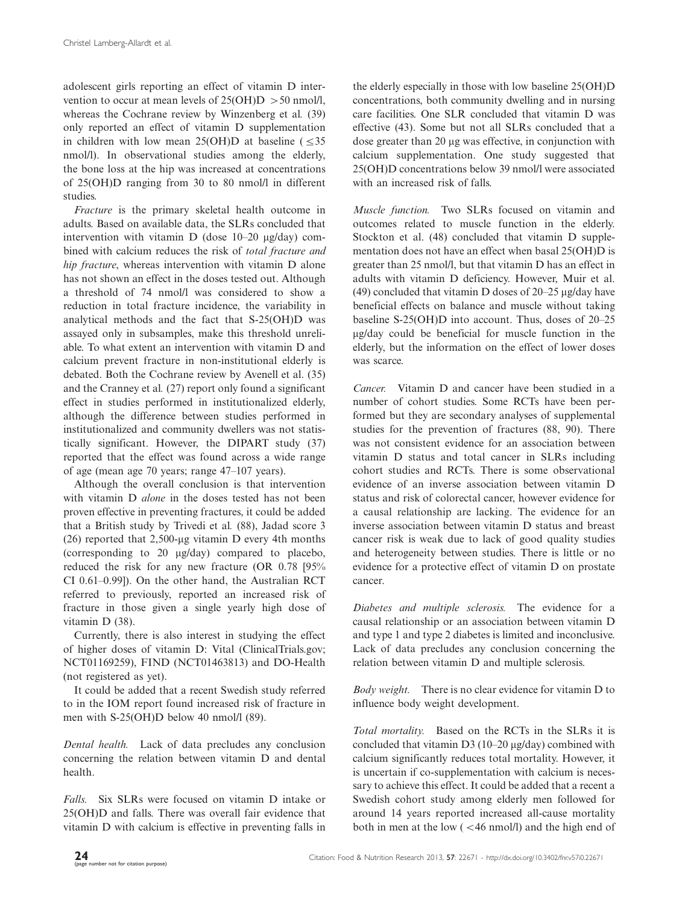adolescent girls reporting an effect of vitamin D intervention to occur at mean levels of  $25(OH)D > 50$  nmol/l, whereas the Cochrane review by Winzenberg et al. (39) only reported an effect of vitamin D supplementation in children with low mean 25(OH)D at baseline  $(535)$ nmol/l). In observational studies among the elderly, the bone loss at the hip was increased at concentrations of 25(OH)D ranging from 30 to 80 nmol/l in different studies.

Fracture is the primary skeletal health outcome in adults. Based on available data, the SLRs concluded that intervention with vitamin D (dose 10–20 μg/day) combined with calcium reduces the risk of total fracture and hip fracture, whereas intervention with vitamin D alone has not shown an effect in the doses tested out. Although a threshold of 74 nmol/l was considered to show a reduction in total fracture incidence, the variability in analytical methods and the fact that S-25(OH)D was assayed only in subsamples, make this threshold unreliable. To what extent an intervention with vitamin D and calcium prevent fracture in non-institutional elderly is debated. Both the Cochrane review by Avenell et al. (35) and the Cranney et al. (27) report only found a significant effect in studies performed in institutionalized elderly, although the difference between studies performed in institutionalized and community dwellers was not statistically significant. However, the DIPART study (37) reported that the effect was found across a wide range of age (mean age 70 years; range 47-107 years).

Although the overall conclusion is that intervention with vitamin D alone in the doses tested has not been proven effective in preventing fractures, it could be added that a British study by Trivedi et al. (88), Jadad score 3 (26) reported that  $2,500$ -µg vitamin D every 4th months (corresponding to 20 mg/day) compared to placebo, reduced the risk for any new fracture (OR 0.78 [95% CI 0.61-0.99]). On the other hand, the Australian RCT referred to previously, reported an increased risk of fracture in those given a single yearly high dose of vitamin D (38).

Currently, there is also interest in studying the effect of higher doses of vitamin D: Vital (ClinicalTrials.gov; NCT01169259), FIND (NCT01463813) and DO-Health (not registered as yet).

It could be added that a recent Swedish study referred to in the IOM report found increased risk of fracture in men with S-25(OH)D below 40 nmol/l (89).

Dental health. Lack of data precludes any conclusion concerning the relation between vitamin D and dental health.

Falls. Six SLRs were focused on vitamin D intake or 25(OH)D and falls. There was overall fair evidence that vitamin D with calcium is effective in preventing falls in

the elderly especially in those with low baseline 25(OH)D concentrations, both community dwelling and in nursing care facilities. One SLR concluded that vitamin D was effective (43). Some but not all SLRs concluded that a dose greater than 20 µg was effective, in conjunction with calcium supplementation. One study suggested that 25(OH)D concentrations below 39 nmol/l were associated with an increased risk of falls.

Muscle function. Two SLRs focused on vitamin and outcomes related to muscle function in the elderly. Stockton et al. (48) concluded that vitamin D supplementation does not have an effect when basal 25(OH)D is greater than 25 nmol/l, but that vitamin D has an effect in adults with vitamin D deficiency. However, Muir et al. (49) concluded that vitamin D doses of  $20-25 \mu g/day$  have beneficial effects on balance and muscle without taking baseline S-25(OH)D into account. Thus, doses of 20-25 mg/day could be beneficial for muscle function in the elderly, but the information on the effect of lower doses was scarce.

Cancer. Vitamin D and cancer have been studied in a number of cohort studies. Some RCTs have been performed but they are secondary analyses of supplemental studies for the prevention of fractures (88, 90). There was not consistent evidence for an association between vitamin D status and total cancer in SLRs including cohort studies and RCTs. There is some observational evidence of an inverse association between vitamin D status and risk of colorectal cancer, however evidence for a causal relationship are lacking. The evidence for an inverse association between vitamin D status and breast cancer risk is weak due to lack of good quality studies and heterogeneity between studies. There is little or no evidence for a protective effect of vitamin D on prostate cancer.

Diabetes and multiple sclerosis. The evidence for a causal relationship or an association between vitamin D and type 1 and type 2 diabetes is limited and inconclusive. Lack of data precludes any conclusion concerning the relation between vitamin D and multiple sclerosis.

Body weight. There is no clear evidence for vitamin D to influence body weight development.

Total mortality. Based on the RCTs in the SLRs it is concluded that vitamin  $D3(10-20 \mu g/day)$  combined with calcium significantly reduces total mortality. However, it is uncertain if co-supplementation with calcium is necessary to achieve this effect. It could be added that a recent a Swedish cohort study among elderly men followed for around 14 years reported increased all-cause mortality both in men at the low  $\left( \frac{46 \text{ nmol}}{l} \right)$  and the high end of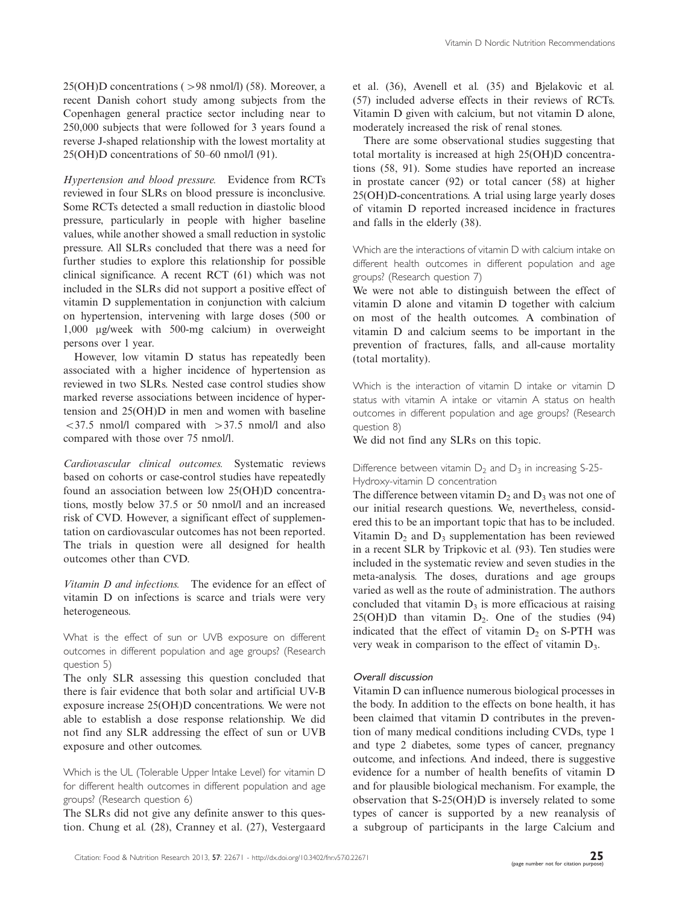25(OH)D concentrations (>98 nmol/l) (58). Moreover, a recent Danish cohort study among subjects from the Copenhagen general practice sector including near to 250,000 subjects that were followed for 3 years found a reverse J-shaped relationship with the lowest mortality at 25(OH)D concentrations of 50-60 nmol/l (91).

Hypertension and blood pressure. Evidence from RCTs reviewed in four SLRs on blood pressure is inconclusive. Some RCTs detected a small reduction in diastolic blood pressure, particularly in people with higher baseline values, while another showed a small reduction in systolic pressure. All SLRs concluded that there was a need for further studies to explore this relationship for possible clinical significance. A recent RCT (61) which was not included in the SLRs did not support a positive effect of vitamin D supplementation in conjunction with calcium on hypertension, intervening with large doses (500 or 1,000 mg/week with 500-mg calcium) in overweight persons over 1 year.

However, low vitamin D status has repeatedly been associated with a higher incidence of hypertension as reviewed in two SLRs. Nested case control studies show marked reverse associations between incidence of hypertension and 25(OH)D in men and women with baseline  $\langle 37.5 \text{ mmol/l} \text{ compared with } >37.5 \text{ mmol/l}$  and also compared with those over 75 nmol/l.

Cardiovascular clinical outcomes. Systematic reviews based on cohorts or case-control studies have repeatedly found an association between low 25(OH)D concentrations, mostly below 37.5 or 50 nmol/l and an increased risk of CVD. However, a significant effect of supplementation on cardiovascular outcomes has not been reported. The trials in question were all designed for health outcomes other than CVD.

Vitamin D and infections. The evidence for an effect of vitamin D on infections is scarce and trials were very heterogeneous.

What is the effect of sun or UVB exposure on different outcomes in different population and age groups? (Research question 5)

The only SLR assessing this question concluded that there is fair evidence that both solar and artificial UV-B exposure increase 25(OH)D concentrations. We were not able to establish a dose response relationship. We did not find any SLR addressing the effect of sun or UVB exposure and other outcomes.

Which is the UL (Tolerable Upper Intake Level) for vitamin D for different health outcomes in different population and age groups? (Research question 6)

The SLRs did not give any definite answer to this question. Chung et al. (28), Cranney et al. (27), Vestergaard et al. (36), Avenell et al. (35) and Bjelakovic et al. (57) included adverse effects in their reviews of RCTs. Vitamin D given with calcium, but not vitamin D alone, moderately increased the risk of renal stones.

There are some observational studies suggesting that total mortality is increased at high 25(OH)D concentrations (58, 91). Some studies have reported an increase in prostate cancer (92) or total cancer (58) at higher 25(OH)D-concentrations. A trial using large yearly doses of vitamin D reported increased incidence in fractures and falls in the elderly (38).

Which are the interactions of vitamin D with calcium intake on different health outcomes in different population and age groups? (Research question 7)

We were not able to distinguish between the effect of vitamin D alone and vitamin D together with calcium on most of the health outcomes. A combination of vitamin D and calcium seems to be important in the prevention of fractures, falls, and all-cause mortality (total mortality).

Which is the interaction of vitamin D intake or vitamin D status with vitamin A intake or vitamin A status on health outcomes in different population and age groups? (Research question 8)

We did not find any SLRs on this topic.

# Difference between vitamin  $D_2$  and  $D_3$  in increasing S-25-Hydroxy-vitamin D concentration

The difference between vitamin  $D_2$  and  $D_3$  was not one of our initial research questions. We, nevertheless, considered this to be an important topic that has to be included. Vitamin  $D_2$  and  $D_3$  supplementation has been reviewed in a recent SLR by Tripkovic et al. (93). Ten studies were included in the systematic review and seven studies in the meta-analysis. The doses, durations and age groups varied as well as the route of administration. The authors concluded that vitamin  $D_3$  is more efficacious at raising  $25(OH)D$  than vitamin  $D_2$ . One of the studies (94) indicated that the effect of vitamin  $D_2$  on S-PTH was very weak in comparison to the effect of vitamin  $D_3$ .

### Overall discussion

Vitamin D can influence numerous biological processes in the body. In addition to the effects on bone health, it has been claimed that vitamin D contributes in the prevention of many medical conditions including CVDs, type 1 and type 2 diabetes, some types of cancer, pregnancy outcome, and infections. And indeed, there is suggestive evidence for a number of health benefits of vitamin D and for plausible biological mechanism. For example, the observation that S-25(OH)D is inversely related to some types of cancer is supported by a new reanalysis of a subgroup of participants in the large Calcium and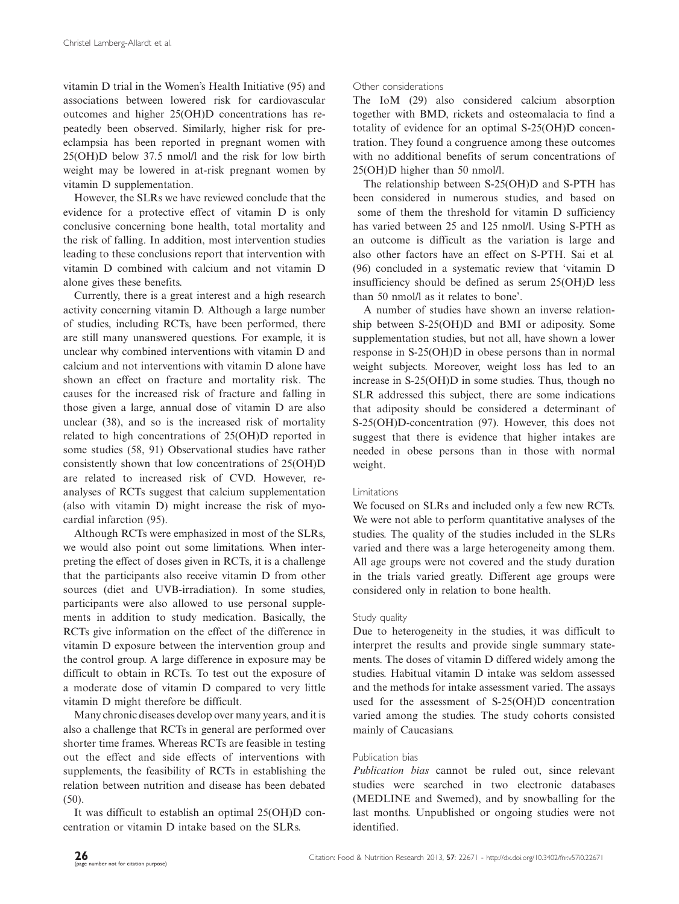vitamin D trial in the Women's Health Initiative (95) and associations between lowered risk for cardiovascular outcomes and higher 25(OH)D concentrations has repeatedly been observed. Similarly, higher risk for preeclampsia has been reported in pregnant women with 25(OH)D below 37.5 nmol/l and the risk for low birth weight may be lowered in at-risk pregnant women by vitamin D supplementation.

However, the SLRs we have reviewed conclude that the evidence for a protective effect of vitamin D is only conclusive concerning bone health, total mortality and the risk of falling. In addition, most intervention studies leading to these conclusions report that intervention with vitamin D combined with calcium and not vitamin D alone gives these benefits.

Currently, there is a great interest and a high research activity concerning vitamin D. Although a large number of studies, including RCTs, have been performed, there are still many unanswered questions. For example, it is unclear why combined interventions with vitamin D and calcium and not interventions with vitamin D alone have shown an effect on fracture and mortality risk. The causes for the increased risk of fracture and falling in those given a large, annual dose of vitamin D are also unclear (38), and so is the increased risk of mortality related to high concentrations of 25(OH)D reported in some studies (58, 91) Observational studies have rather consistently shown that low concentrations of 25(OH)D are related to increased risk of CVD. However, reanalyses of RCTs suggest that calcium supplementation (also with vitamin D) might increase the risk of myocardial infarction (95).

Although RCTs were emphasized in most of the SLRs, we would also point out some limitations. When interpreting the effect of doses given in RCTs, it is a challenge that the participants also receive vitamin D from other sources (diet and UVB-irradiation). In some studies, participants were also allowed to use personal supplements in addition to study medication. Basically, the RCTs give information on the effect of the difference in vitamin D exposure between the intervention group and the control group. A large difference in exposure may be difficult to obtain in RCTs. To test out the exposure of a moderate dose of vitamin D compared to very little vitamin D might therefore be difficult.

Many chronic diseases develop over many years, and it is also a challenge that RCTs in general are performed over shorter time frames. Whereas RCTs are feasible in testing out the effect and side effects of interventions with supplements, the feasibility of RCTs in establishing the relation between nutrition and disease has been debated (50).

It was difficult to establish an optimal 25(OH)D concentration or vitamin D intake based on the SLRs.

# Other considerations

The IoM (29) also considered calcium absorption together with BMD, rickets and osteomalacia to find a totality of evidence for an optimal S-25(OH)D concentration. They found a congruence among these outcomes with no additional benefits of serum concentrations of 25(OH)D higher than 50 nmol/l.

The relationship between S-25(OH)D and S-PTH has been considered in numerous studies, and based on some of them the threshold for vitamin D sufficiency has varied between 25 and 125 nmol/l. Using S-PTH as an outcome is difficult as the variation is large and also other factors have an effect on S-PTH. Sai et al. (96) concluded in a systematic review that 'vitamin D insufficiency should be defined as serum 25(OH)D less than 50 nmol/l as it relates to bone'.

A number of studies have shown an inverse relationship between S-25(OH)D and BMI or adiposity. Some supplementation studies, but not all, have shown a lower response in S-25(OH)D in obese persons than in normal weight subjects. Moreover, weight loss has led to an increase in S-25(OH)D in some studies. Thus, though no SLR addressed this subject, there are some indications that adiposity should be considered a determinant of S-25(OH)D-concentration (97). However, this does not suggest that there is evidence that higher intakes are needed in obese persons than in those with normal weight.

# Limitations

We focused on SLRs and included only a few new RCTs. We were not able to perform quantitative analyses of the studies. The quality of the studies included in the SLRs varied and there was a large heterogeneity among them. All age groups were not covered and the study duration in the trials varied greatly. Different age groups were considered only in relation to bone health.

### Study quality

Due to heterogeneity in the studies, it was difficult to interpret the results and provide single summary statements. The doses of vitamin D differed widely among the studies. Habitual vitamin D intake was seldom assessed and the methods for intake assessment varied. The assays used for the assessment of S-25(OH)D concentration varied among the studies. The study cohorts consisted mainly of Caucasians.

# Publication bias

Publication bias cannot be ruled out, since relevant studies were searched in two electronic databases (MEDLINE and Swemed), and by snowballing for the last months. Unpublished or ongoing studies were not identified.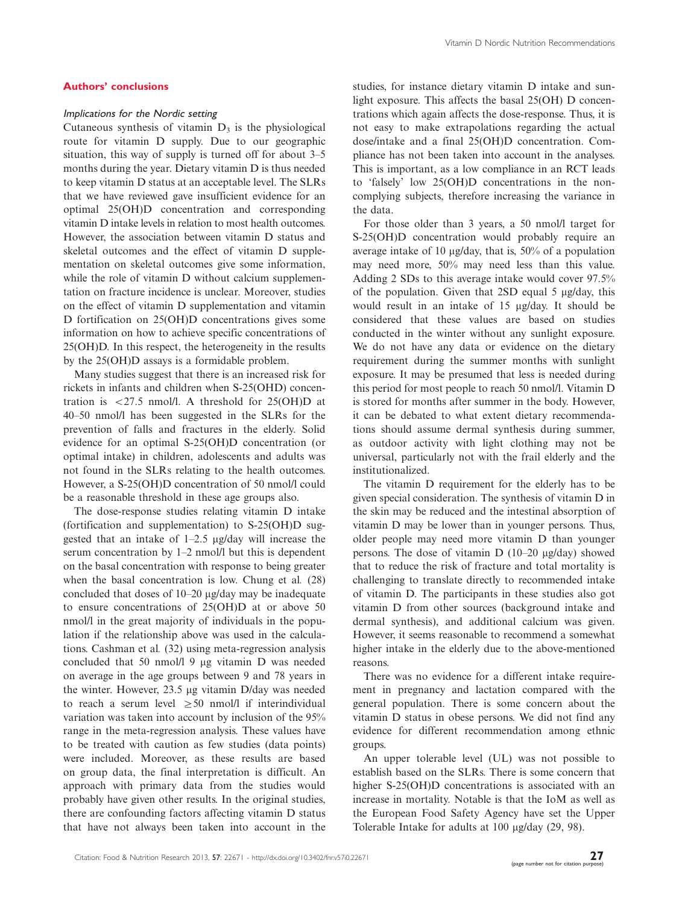### Authors' conclusions

## Implications for the Nordic setting

Cutaneous synthesis of vitamin  $D_3$  is the physiological route for vitamin D supply. Due to our geographic situation, this way of supply is turned off for about 3-5 months during the year. Dietary vitamin D is thus needed to keep vitamin D status at an acceptable level. The SLRs that we have reviewed gave insufficient evidence for an optimal 25(OH)D concentration and corresponding vitamin D intake levels in relation to most health outcomes. However, the association between vitamin D status and skeletal outcomes and the effect of vitamin D supplementation on skeletal outcomes give some information, while the role of vitamin D without calcium supplementation on fracture incidence is unclear. Moreover, studies on the effect of vitamin D supplementation and vitamin D fortification on 25(OH)D concentrations gives some information on how to achieve specific concentrations of 25(OH)D. In this respect, the heterogeneity in the results by the 25(OH)D assays is a formidable problem.

Many studies suggest that there is an increased risk for rickets in infants and children when S-25(OHD) concentration is  $\langle 27.5 \text{ nmol/l}$ . A threshold for 25(OH)D at 40-50 nmol/l has been suggested in the SLRs for the prevention of falls and fractures in the elderly. Solid evidence for an optimal S-25(OH)D concentration (or optimal intake) in children, adolescents and adults was not found in the SLRs relating to the health outcomes. However, a S-25(OH)D concentration of 50 nmol/l could be a reasonable threshold in these age groups also.

The dose-response studies relating vitamin D intake (fortification and supplementation) to S-25(OH)D suggested that an intake of  $1-2.5$   $\mu$ g/day will increase the serum concentration by 1-2 nmol/l but this is dependent on the basal concentration with response to being greater when the basal concentration is low. Chung et al. (28) concluded that doses of 10–20 µg/day may be inadequate to ensure concentrations of 25(OH)D at or above 50 nmol/l in the great majority of individuals in the population if the relationship above was used in the calculations. Cashman et al. (32) using meta-regression analysis concluded that  $50 \text{ nmol/l}$  9 µg vitamin D was needed on average in the age groups between 9 and 78 years in the winter. However, 23.5 mg vitamin D/day was needed to reach a serum level  $\geq 50$  nmol/l if interindividual variation was taken into account by inclusion of the 95% range in the meta-regression analysis. These values have to be treated with caution as few studies (data points) were included. Moreover, as these results are based on group data, the final interpretation is difficult. An approach with primary data from the studies would probably have given other results. In the original studies, there are confounding factors affecting vitamin D status that have not always been taken into account in the

studies, for instance dietary vitamin D intake and sunlight exposure. This affects the basal 25(OH) D concentrations which again affects the dose-response. Thus, it is not easy to make extrapolations regarding the actual dose/intake and a final 25(OH)D concentration. Compliance has not been taken into account in the analyses. This is important, as a low compliance in an RCT leads to 'falsely' low 25(OH)D concentrations in the noncomplying subjects, therefore increasing the variance in the data.

For those older than 3 years, a 50 nmol/l target for S-25(OH)D concentration would probably require an average intake of 10  $\mu$ g/day, that is, 50% of a population may need more, 50% may need less than this value. Adding 2 SDs to this average intake would cover 97.5% of the population. Given that  $2SD$  equal 5  $\mu$ g/day, this would result in an intake of 15 mg/day. It should be considered that these values are based on studies conducted in the winter without any sunlight exposure. We do not have any data or evidence on the dietary requirement during the summer months with sunlight exposure. It may be presumed that less is needed during this period for most people to reach 50 nmol/l. Vitamin D is stored for months after summer in the body. However, it can be debated to what extent dietary recommendations should assume dermal synthesis during summer, as outdoor activity with light clothing may not be universal, particularly not with the frail elderly and the institutionalized.

The vitamin D requirement for the elderly has to be given special consideration. The synthesis of vitamin D in the skin may be reduced and the intestinal absorption of vitamin D may be lower than in younger persons. Thus, older people may need more vitamin D than younger persons. The dose of vitamin D (10-20 mg/day) showed that to reduce the risk of fracture and total mortality is challenging to translate directly to recommended intake of vitamin D. The participants in these studies also got vitamin D from other sources (background intake and dermal synthesis), and additional calcium was given. However, it seems reasonable to recommend a somewhat higher intake in the elderly due to the above-mentioned reasons.

There was no evidence for a different intake requirement in pregnancy and lactation compared with the general population. There is some concern about the vitamin D status in obese persons. We did not find any evidence for different recommendation among ethnic groups.

An upper tolerable level (UL) was not possible to establish based on the SLRs. There is some concern that higher S-25(OH)D concentrations is associated with an increase in mortality. Notable is that the IoM as well as the European Food Safety Agency have set the Upper Tolerable Intake for adults at 100 µg/day (29, 98).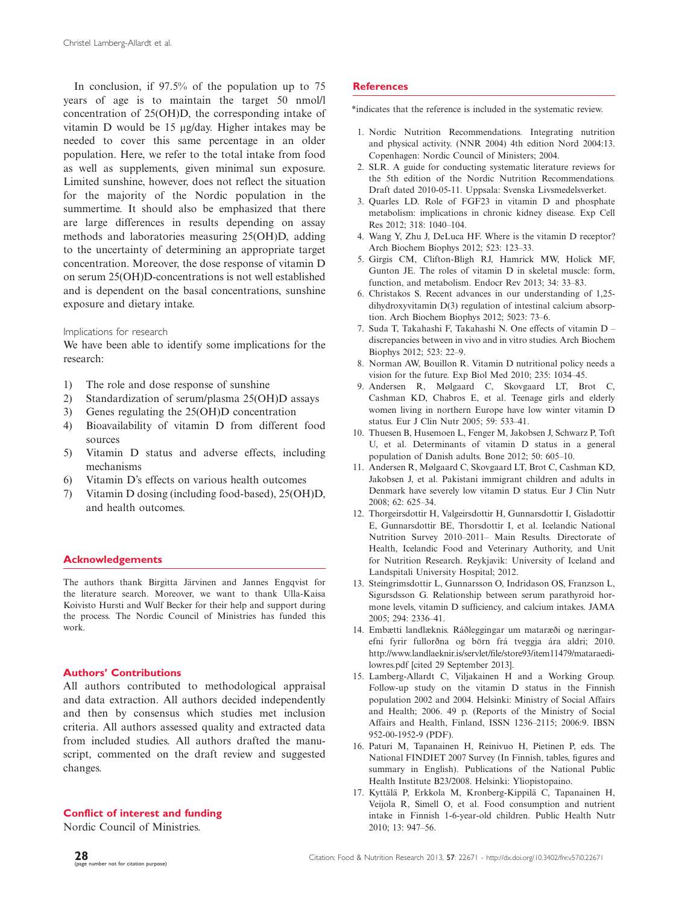In conclusion, if 97.5% of the population up to 75 years of age is to maintain the target 50 nmol/l concentration of 25(OH)D, the corresponding intake of vitamin D would be 15 mg/day. Higher intakes may be needed to cover this same percentage in an older population. Here, we refer to the total intake from food as well as supplements, given minimal sun exposure. Limited sunshine, however, does not reflect the situation for the majority of the Nordic population in the summertime. It should also be emphasized that there are large differences in results depending on assay methods and laboratories measuring 25(OH)D, adding to the uncertainty of determining an appropriate target concentration. Moreover, the dose response of vitamin D on serum 25(OH)D-concentrations is not well established and is dependent on the basal concentrations, sunshine exposure and dietary intake.

Implications for research

We have been able to identify some implications for the research:

- 1) The role and dose response of sunshine
- 2) Standardization of serum/plasma 25(OH)D assays
- 3) Genes regulating the 25(OH)D concentration
- 4) Bioavailability of vitamin D from different food sources
- 5) Vitamin D status and adverse effects, including mechanisms
- 6) Vitamin D's effects on various health outcomes
- 7) Vitamin D dosing (including food-based), 25(OH)D, and health outcomes.

### Acknowledgements

The authors thank Birgitta Järvinen and Jannes Engqvist for the literature search. Moreover, we want to thank Ulla-Kaisa Koivisto Hursti and Wulf Becker for their help and support during the process. The Nordic Council of Ministries has funded this work.

# Authors' Contributions

All authors contributed to methodological appraisal and data extraction. All authors decided independently and then by consensus which studies met inclusion criteria. All authors assessed quality and extracted data from included studies. All authors drafted the manuscript, commented on the draft review and suggested changes.

### Conflict of interest and funding

Nordic Council of Ministries.

# **References**

\*indicates that the reference is included in the systematic review.

- 1. Nordic Nutrition Recommendations. Integrating nutrition and physical activity. (NNR 2004) 4th edition Nord 2004:13. Copenhagen: Nordic Council of Ministers; 2004.
- 2. SLR. A guide for conducting systematic literature reviews for the 5th edition of the Nordic Nutrition Recommendations. Draft dated 2010-05-11. Uppsala: Svenska Livsmedelsverket.
- 3. Quarles LD. Role of FGF23 in vitamin D and phosphate metabolism: implications in chronic kidney disease. Exp Cell Res 2012; 318: 1040-104.
- 4. Wang Y, Zhu J, DeLuca HF. Where is the vitamin D receptor? Arch Biochem Biophys 2012; 523: 123-33.
- 5. Girgis CM, Clifton-Bligh RJ, Hamrick MW, Holick MF, Gunton JE. The roles of vitamin D in skeletal muscle: form, function, and metabolism. Endocr Rev 2013; 34: 33-83.
- 6. Christakos S. Recent advances in our understanding of 1,25 dihydroxyvitamin D(3) regulation of intestinal calcium absorption. Arch Biochem Biophys 2012; 5023: 73-6.
- 7. Suda T, Takahashi F, Takahashi N. One effects of vitamin D discrepancies between in vivo and in vitro studies. Arch Biochem Biophys 2012; 523: 22-9.
- 8. Norman AW, Bouillon R. Vitamin D nutritional policy needs a vision for the future. Exp Biol Med 2010; 235: 1034-45.
- 9. Andersen R, Mølgaard C, Skovgaard LT, Brot C, Cashman KD, Chabros E, et al. Teenage girls and elderly women living in northern Europe have low winter vitamin D status. Eur J Clin Nutr 2005; 59: 533-41.
- 10. Thuesen B, Husemoen L, Fenger M, Jakobsen J, Schwarz P, Toft U, et al. Determinants of vitamin D status in a general population of Danish adults. Bone 2012; 50: 605-10.
- 11. Andersen R, Mølgaard C, Skovgaard LT, Brot C, Cashman KD, Jakobsen J, et al. Pakistani immigrant children and adults in Denmark have severely low vitamin D status. Eur J Clin Nutr 2008; 62: 625-34.
- 12. Thorgeirsdottir H, Valgeirsdottir H, Gunnarsdottir I, Gisladottir E, Gunnarsdottir BE, Thorsdottir I, et al. Icelandic National Nutrition Survey 2010-2011- Main Results. Directorate of Health, Icelandic Food and Veterinary Authority, and Unit for Nutrition Research. Reykjavik: University of Iceland and Landspitali University Hospital; 2012.
- 13. Steingrimsdottir L, Gunnarsson O, Indridason OS, Franzson L, Sigursdsson G. Relationship between serum parathyroid hormone levels, vitamin D sufficiency, and calcium intakes. JAMA 2005; 294: 2336-41.
- 14. Embætti landlæknis. Ráðleggingar um mataræði og næringarefni fyrir fullorðna og börn frá tveggja ára aldri; 2010. [http://www.landlaeknir.is/servlet/file/store93/item11479/mataraedi](http://www.landlaeknir.is/servlet/file/store93/item11479/mataraedi-lowres.pdf)[lowres.pdf](http://www.landlaeknir.is/servlet/file/store93/item11479/mataraedi-lowres.pdf) [cited 29 September 2013].
- 15. Lamberg-Allardt C, Viljakainen H and a Working Group. Follow-up study on the vitamin D status in the Finnish population 2002 and 2004. Helsinki: Ministry of Social Affairs and Health; 2006. 49 p. (Reports of the Ministry of Social Affairs and Health, Finland, ISSN 1236-2115; 2006:9. IBSN 952-00-1952-9 (PDF).
- 16. Paturi M, Tapanainen H, Reinivuo H, Pietinen P, eds. The National FINDIET 2007 Survey (In Finnish, tables, figures and summary in English). Publications of the National Public Health Institute B23/2008. Helsinki: Yliopistopaino.
- 17. Kyttälä P, Erkkola M, Kronberg-Kippilä C, Tapanainen H, Veijola R, Simell O, et al. Food consumption and nutrient intake in Finnish 1-6-year-old children. Public Health Nutr 2010; 13: 947-56.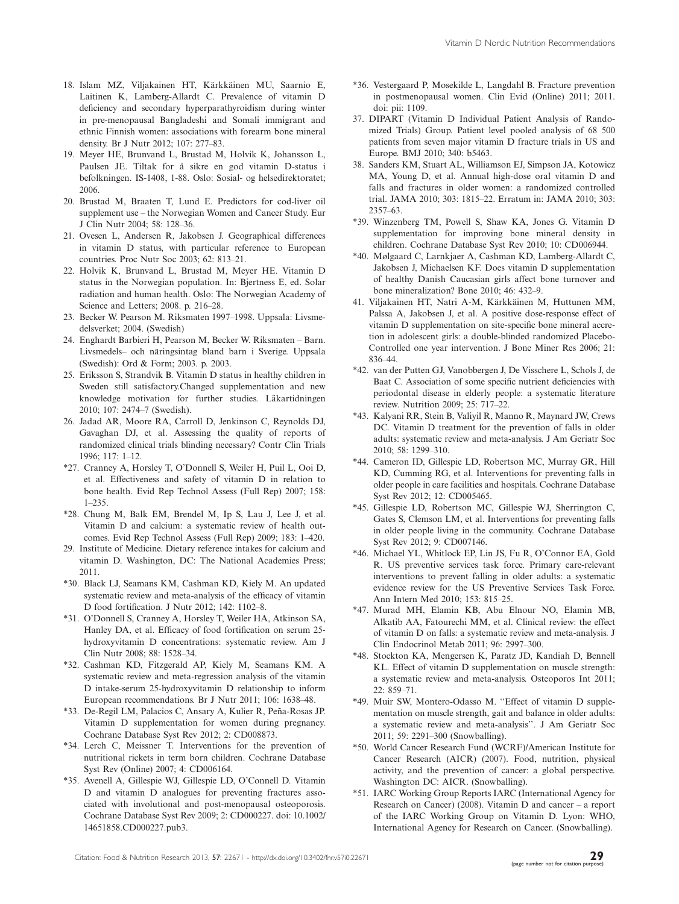- 18. Islam MZ, Viljakainen HT, Kärkkäinen MU, Saarnio E, Laitinen K, Lamberg-Allardt C. Prevalence of vitamin D deficiency and secondary hyperparathyroidism during winter in pre-menopausal Bangladeshi and Somali immigrant and ethnic Finnish women: associations with forearm bone mineral density. Br J Nutr 2012; 107: 277-83.
- 19. Meyer HE, Brunvand L, Brustad M, Holvik K, Johansson L, Paulsen JE. Tiltak for å sikre en god vitamin D-status i befolkningen. IS-1408, 1-88. Oslo: Sosial- og helsedirektoratet; 2006.
- 20. Brustad M, Braaten T, Lund E. Predictors for cod-liver oil supplement use - the Norwegian Women and Cancer Study. Eur J Clin Nutr 2004; 58: 128-36.
- 21. Ovesen L, Andersen R, Jakobsen J. Geographical differences in vitamin D status, with particular reference to European countries. Proc Nutr Soc 2003; 62: 813-21.
- 22. Holvik K, Brunvand L, Brustad M, Meyer HE. Vitamin D status in the Norwegian population. In: Bjertness E, ed. Solar radiation and human health. Oslo: The Norwegian Academy of Science and Letters; 2008. p. 216-28.
- 23. Becker W. Pearson M. Riksmaten 1997-1998. Uppsala: Livsmedelsverket; 2004. (Swedish)
- 24. Enghardt Barbieri H, Pearson M, Becker W. Riksmaten Barn. Livsmedels- och näringsintag bland barn i Sverige. Uppsala (Swedish): Ord & Form; 2003. p. 2003.
- 25. Eriksson S, Strandvik B. Vitamin D status in healthy children in Sweden still satisfactory.Changed supplementation and new knowledge motivation for further studies. Läkartidningen 2010; 107: 2474-7 (Swedish).
- 26. Jadad AR, Moore RA, Carroll D, Jenkinson C, Reynolds DJ, Gavaghan DJ, et al. Assessing the quality of reports of randomized clinical trials blinding necessary? Contr Clin Trials 1996; 117: 1-12.
- \*27. Cranney A, Horsley T, O'Donnell S, Weiler H, Puil L, Ooi D, et al. Effectiveness and safety of vitamin D in relation to bone health. Evid Rep Technol Assess (Full Rep) 2007; 158: 1-235.
- \*28. Chung M, Balk EM, Brendel M, Ip S, Lau J, Lee J, et al. Vitamin D and calcium: a systematic review of health outcomes. Evid Rep Technol Assess (Full Rep) 2009; 183: 1-420.
- 29. Institute of Medicine. Dietary reference intakes for calcium and vitamin D. Washington, DC: The National Academies Press; 2011.
- \*30. Black LJ, Seamans KM, Cashman KD, Kiely M. An updated systematic review and meta-analysis of the efficacy of vitamin D food fortification. J Nutr 2012; 142: 1102-8.
- \*31. O'Donnell S, Cranney A, Horsley T, Weiler HA, Atkinson SA, Hanley DA, et al. Efficacy of food fortification on serum 25 hydroxyvitamin D concentrations: systematic review. Am J Clin Nutr 2008; 88: 1528-34.
- \*32. Cashman KD, Fitzgerald AP, Kiely M, Seamans KM. A systematic review and meta-regression analysis of the vitamin D intake-serum 25-hydroxyvitamin D relationship to inform European recommendations. Br J Nutr 2011; 106: 1638-48.
- \*33. De-Regil LM, Palacios C, Ansary A, Kulier R, Peña-Rosas JP. Vitamin D supplementation for women during pregnancy. Cochrane Database Syst Rev 2012; 2: CD008873.
- \*34. Lerch C, Meissner T. Interventions for the prevention of nutritional rickets in term born children. Cochrane Database Syst Rev (Online) 2007; 4: CD006164.
- \*35. Avenell A, Gillespie WJ, Gillespie LD, O'Connell D. Vitamin D and vitamin D analogues for preventing fractures associated with involutional and post-menopausal osteoporosis. Cochrane Database Syst Rev 2009; 2: CD000227. doi: 10.1002/ 14651858.CD000227.pub3.
- \*36. Vestergaard P, Mosekilde L, Langdahl B. Fracture prevention in postmenopausal women. Clin Evid (Online) 2011; 2011. doi: pii: 1109.
- 37. DIPART (Vitamin D Individual Patient Analysis of Randomized Trials) Group. Patient level pooled analysis of 68 500 patients from seven major vitamin D fracture trials in US and Europe. BMJ 2010; 340: b5463.
- 38. Sanders KM, Stuart AL, Williamson EJ, Simpson JA, Kotowicz MA, Young D, et al. Annual high-dose oral vitamin D and falls and fractures in older women: a randomized controlled trial. JAMA 2010; 303: 1815-22. Erratum in: JAMA 2010; 303: 2357-63.
- \*39. Winzenberg TM, Powell S, Shaw KA, Jones G. Vitamin D supplementation for improving bone mineral density in children. Cochrane Database Syst Rev 2010; 10: CD006944.
- \*40. Mølgaard C, Larnkjaer A, Cashman KD, Lamberg-Allardt C, Jakobsen J, Michaelsen KF. Does vitamin D supplementation of healthy Danish Caucasian girls affect bone turnover and bone mineralization? Bone 2010; 46: 432-9.
- 41. Viljakainen HT, Natri A-M, Kärkkäinen M, Huttunen MM, Palssa A, Jakobsen J, et al. A positive dose-response effect of vitamin D supplementation on site-specific bone mineral accretion in adolescent girls: a double-blinded randomized Placebo-Controlled one year intervention. J Bone Miner Res 2006; 21: 836-44.
- \*42. van der Putten GJ, Vanobbergen J, De Visschere L, Schols J, de Baat C. Association of some specific nutrient deficiencies with periodontal disease in elderly people: a systematic literature review. Nutrition 2009; 25: 717-22.
- \*43. Kalyani RR, Stein B, Valiyil R, Manno R, Maynard JW, Crews DC. Vitamin D treatment for the prevention of falls in older adults: systematic review and meta-analysis. J Am Geriatr Soc 2010; 58: 1299-310.
- \*44. Cameron ID, Gillespie LD, Robertson MC, Murray GR, Hill KD, Cumming RG, et al. Interventions for preventing falls in older people in care facilities and hospitals. Cochrane Database Syst Rev 2012; 12: CD005465.
- \*45. Gillespie LD, Robertson MC, Gillespie WJ, Sherrington C, Gates S, Clemson LM, et al. Interventions for preventing falls in older people living in the community. Cochrane Database Syst Rev 2012; 9: CD007146.
- \*46. Michael YL, Whitlock EP, Lin JS, Fu R, O'Connor EA, Gold R. US preventive services task force. Primary care-relevant interventions to prevent falling in older adults: a systematic evidence review for the US Preventive Services Task Force. Ann Intern Med 2010; 153: 815-25.
- \*47. Murad MH, Elamin KB, Abu Elnour NO, Elamin MB, Alkatib AA, Fatourechi MM, et al. Clinical review: the effect of vitamin D on falls: a systematic review and meta-analysis. J Clin Endocrinol Metab 2011; 96: 2997-300.
- \*48. Stockton KA, Mengersen K, Paratz JD, Kandiah D, Bennell KL. Effect of vitamin D supplementation on muscle strength: a systematic review and meta-analysis. Osteoporos Int 2011; 22: 859-71.
- \*49. Muir SW, Montero-Odasso M. ''Effect of vitamin D supplementation on muscle strength, gait and balance in older adults: a systematic review and meta-analysis''. J Am Geriatr Soc 2011; 59: 2291-300 (Snowballing).
- \*50. World Cancer Research Fund (WCRF)/American Institute for Cancer Research (AICR) (2007). Food, nutrition, physical activity, and the prevention of cancer: a global perspective. Washington DC: AICR. (Snowballing).
- \*51. IARC Working Group Reports IARC (International Agency for Research on Cancer) (2008). Vitamin D and cancer  $-$  a report of the IARC Working Group on Vitamin D. Lyon: WHO, International Agency for Research on Cancer. (Snowballing).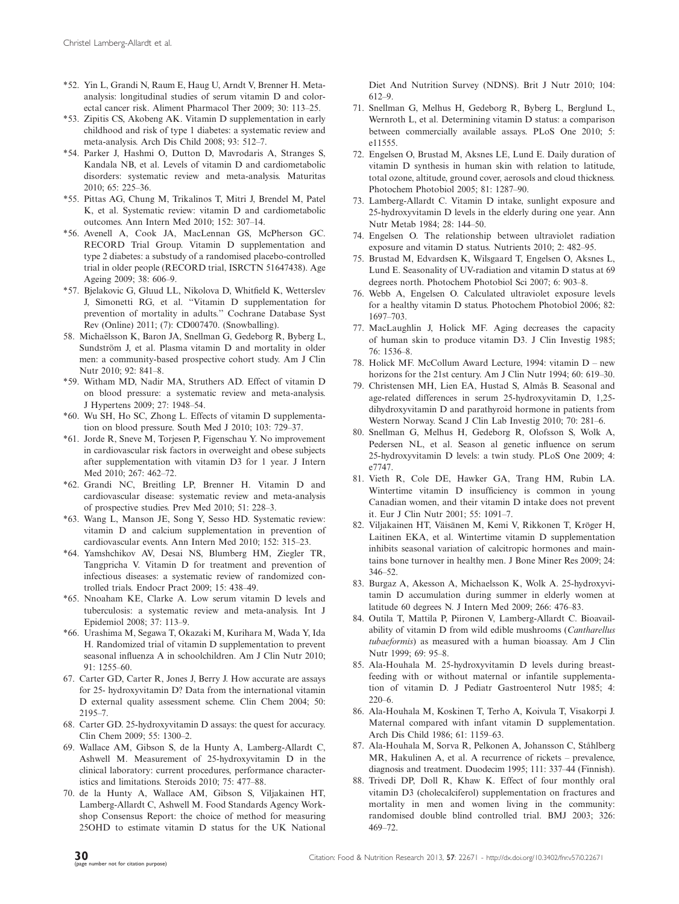- \*52. Yin L, Grandi N, Raum E, Haug U, Arndt V, Brenner H. Metaanalysis: longitudinal studies of serum vitamin D and colorectal cancer risk. Aliment Pharmacol Ther 2009; 30: 113-25.
- \*53. Zipitis CS, Akobeng AK. Vitamin D supplementation in early childhood and risk of type 1 diabetes: a systematic review and meta-analysis. Arch Dis Child 2008; 93: 512-7.
- \*54. Parker J, Hashmi O, Dutton D, Mavrodaris A, Stranges S, Kandala NB, et al. Levels of vitamin D and cardiometabolic disorders: systematic review and meta-analysis. Maturitas 2010; 65: 225-36.
- \*55. Pittas AG, Chung M, Trikalinos T, Mitri J, Brendel M, Patel K, et al. Systematic review: vitamin D and cardiometabolic outcomes. Ann Intern Med 2010; 152: 307-14.
- \*56. Avenell A, Cook JA, MacLennan GS, McPherson GC. RECORD Trial Group. Vitamin D supplementation and type 2 diabetes: a substudy of a randomised placebo-controlled trial in older people (RECORD trial, ISRCTN 51647438). Age Ageing 2009; 38: 606-9.
- \*57. Bjelakovic G, Gluud LL, Nikolova D, Whitfield K, Wetterslev J, Simonetti RG, et al. ''Vitamin D supplementation for prevention of mortality in adults.'' Cochrane Database Syst Rev (Online) 2011; (7): CD007470. (Snowballing).
- 58. Michaëlsson K, Baron JA, Snellman G, Gedeborg R, Byberg L, Sundström J, et al. Plasma vitamin D and mortality in older men: a community-based prospective cohort study. Am J Clin Nutr 2010; 92: 841-8.
- \*59. Witham MD, Nadir MA, Struthers AD. Effect of vitamin D on blood pressure: a systematic review and meta-analysis. J Hypertens 2009; 27: 1948-54.
- \*60. Wu SH, Ho SC, Zhong L. Effects of vitamin D supplementation on blood pressure. South Med J 2010; 103: 729-37.
- \*61. Jorde R, Sneve M, Torjesen P, Figenschau Y. No improvement in cardiovascular risk factors in overweight and obese subjects after supplementation with vitamin D3 for 1 year. J Intern Med 2010; 267: 462-72.
- \*62. Grandi NC, Breitling LP, Brenner H. Vitamin D and cardiovascular disease: systematic review and meta-analysis of prospective studies. Prev Med 2010; 51: 228-3.
- \*63. Wang L, Manson JE, Song Y, Sesso HD. Systematic review: vitamin D and calcium supplementation in prevention of cardiovascular events. Ann Intern Med 2010; 152: 315-23.
- \*64. Yamshchikov AV, Desai NS, Blumberg HM, Ziegler TR, Tangpricha V. Vitamin D for treatment and prevention of infectious diseases: a systematic review of randomized controlled trials. Endocr Pract 2009; 15: 438-49.
- \*65. Nnoaham KE, Clarke A. Low serum vitamin D levels and tuberculosis: a systematic review and meta-analysis. Int J Epidemiol 2008; 37: 113-9.
- \*66. Urashima M, Segawa T, Okazaki M, Kurihara M, Wada Y, Ida H. Randomized trial of vitamin D supplementation to prevent seasonal influenza A in schoolchildren. Am J Clin Nutr 2010; 91: 1255-60.
- 67. Carter GD, Carter R, Jones J, Berry J. How accurate are assays for 25- hydroxyvitamin D? Data from the international vitamin D external quality assessment scheme. Clin Chem 2004; 50: 2195-7.
- 68. Carter GD. 25-hydroxyvitamin D assays: the quest for accuracy. Clin Chem 2009; 55: 1300-2.
- 69. Wallace AM, Gibson S, de la Hunty A, Lamberg-Allardt C, Ashwell M. Measurement of 25-hydroxyvitamin D in the clinical laboratory: current procedures, performance characteristics and limitations. Steroids 2010; 75: 477-88.
- 70. de la Hunty A, Wallace AM, Gibson S, Viljakainen HT, Lamberg-Allardt C, Ashwell M. Food Standards Agency Workshop Consensus Report: the choice of method for measuring 25OHD to estimate vitamin D status for the UK National

Diet And Nutrition Survey (NDNS). Brit J Nutr 2010; 104: 612-9.

- 71. Snellman G, Melhus H, Gedeborg R, Byberg L, Berglund L, Wernroth L, et al. Determining vitamin D status: a comparison between commercially available assays. PLoS One 2010; 5: e11555.
- 72. Engelsen O, Brustad M, Aksnes LE, Lund E. Daily duration of vitamin D synthesis in human skin with relation to latitude, total ozone, altitude, ground cover, aerosols and cloud thickness. Photochem Photobiol 2005; 81: 1287-90.
- 73. Lamberg-Allardt C. Vitamin D intake, sunlight exposure and 25-hydroxyvitamin D levels in the elderly during one year. Ann Nutr Metab 1984; 28: 144-50.
- 74. Engelsen O. The relationship between ultraviolet radiation exposure and vitamin D status. Nutrients 2010; 2: 482-95.
- 75. Brustad M, Edvardsen K, Wilsgaard T, Engelsen O, Aksnes L, Lund E. Seasonality of UV-radiation and vitamin D status at 69 degrees north. Photochem Photobiol Sci 2007; 6: 903-8.
- 76. Webb A, Engelsen O. Calculated ultraviolet exposure levels for a healthy vitamin D status. Photochem Photobiol 2006; 82: 1697-703.
- 77. MacLaughlin J, Holick MF. Aging decreases the capacity of human skin to produce vitamin D3. J Clin Investig 1985; 76: 1536-8.
- 78. Holick MF. McCollum Award Lecture, 1994: vitamin D new horizons for the 21st century. Am J Clin Nutr 1994; 60: 619–30.
- 79. Christensen MH, Lien EA, Hustad S, Almås B. Seasonal and age-related differences in serum 25-hydroxyvitamin D, 1,25 dihydroxyvitamin D and parathyroid hormone in patients from Western Norway. Scand J Clin Lab Investig 2010; 70: 281-6.
- 80. Snellman G, Melhus H, Gedeborg R, Olofsson S, Wolk A, Pedersen NL, et al. Season al genetic influence on serum 25-hydroxyvitamin D levels: a twin study. PLoS One 2009; 4: e7747.
- 81. Vieth R, Cole DE, Hawker GA, Trang HM, Rubin LA. Wintertime vitamin D insufficiency is common in young Canadian women, and their vitamin D intake does not prevent it. Eur J Clin Nutr 2001; 55: 1091-7.
- 82. Viljakainen HT, Väisänen M, Kemi V, Rikkonen T, Kröger H, Laitinen EKA, et al. Wintertime vitamin D supplementation inhibits seasonal variation of calcitropic hormones and maintains bone turnover in healthy men. J Bone Miner Res 2009; 24: 346-52.
- 83. Burgaz A, Akesson A, Michaelsson K, Wolk A. 25-hydroxyvitamin D accumulation during summer in elderly women at latitude 60 degrees N. J Intern Med 2009; 266: 476-83.
- 84. Outila T, Mattila P, Piironen V, Lamberg-Allardt C. Bioavailability of vitamin D from wild edible mushrooms (Cantharellus tubaeformis) as measured with a human bioassay. Am J Clin Nutr 1999; 69: 95-8.
- 85. Ala-Houhala M. 25-hydroxyvitamin D levels during breastfeeding with or without maternal or infantile supplementation of vitamin D. J Pediatr Gastroenterol Nutr 1985; 4: 220-6.
- 86. Ala-Houhala M, Koskinen T, Terho A, Koivula T, Visakorpi J. Maternal compared with infant vitamin D supplementation. Arch Dis Child 1986; 61: 1159-63.
- 87. Ala-Houhala M, Sorva R, Pelkonen A, Johansson C, Ståhlberg MR, Hakulinen A, et al. A recurrence of rickets – prevalence, diagnosis and treatment. Duodecim 1995; 111: 337-44 (Finnish).
- 88. Trivedi DP, Doll R, Khaw K. Effect of four monthly oral vitamin D3 (cholecalciferol) supplementation on fractures and mortality in men and women living in the community: randomised double blind controlled trial. BMJ 2003; 326: 469-72.